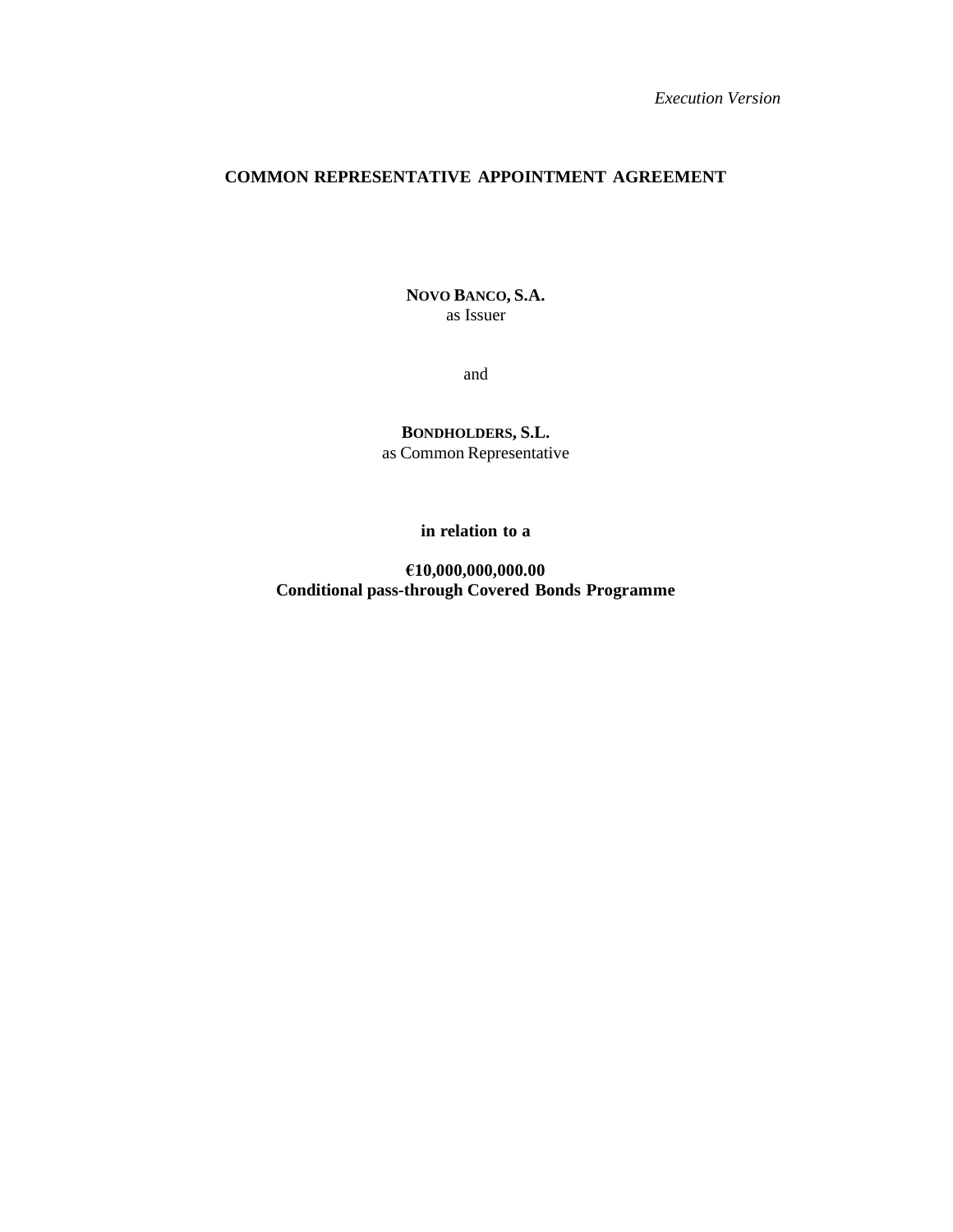*Execution Version*

# **COMMON REPRESENTATIVE APPOINTMENT AGREEMENT**

**NOVO BANCO, S.A.** as Issuer

and

**BONDHOLDERS, S.L.** as Common Representative

**in relation to a**

**€10,000,000,000.00 Conditional pass-through Covered Bonds Programme**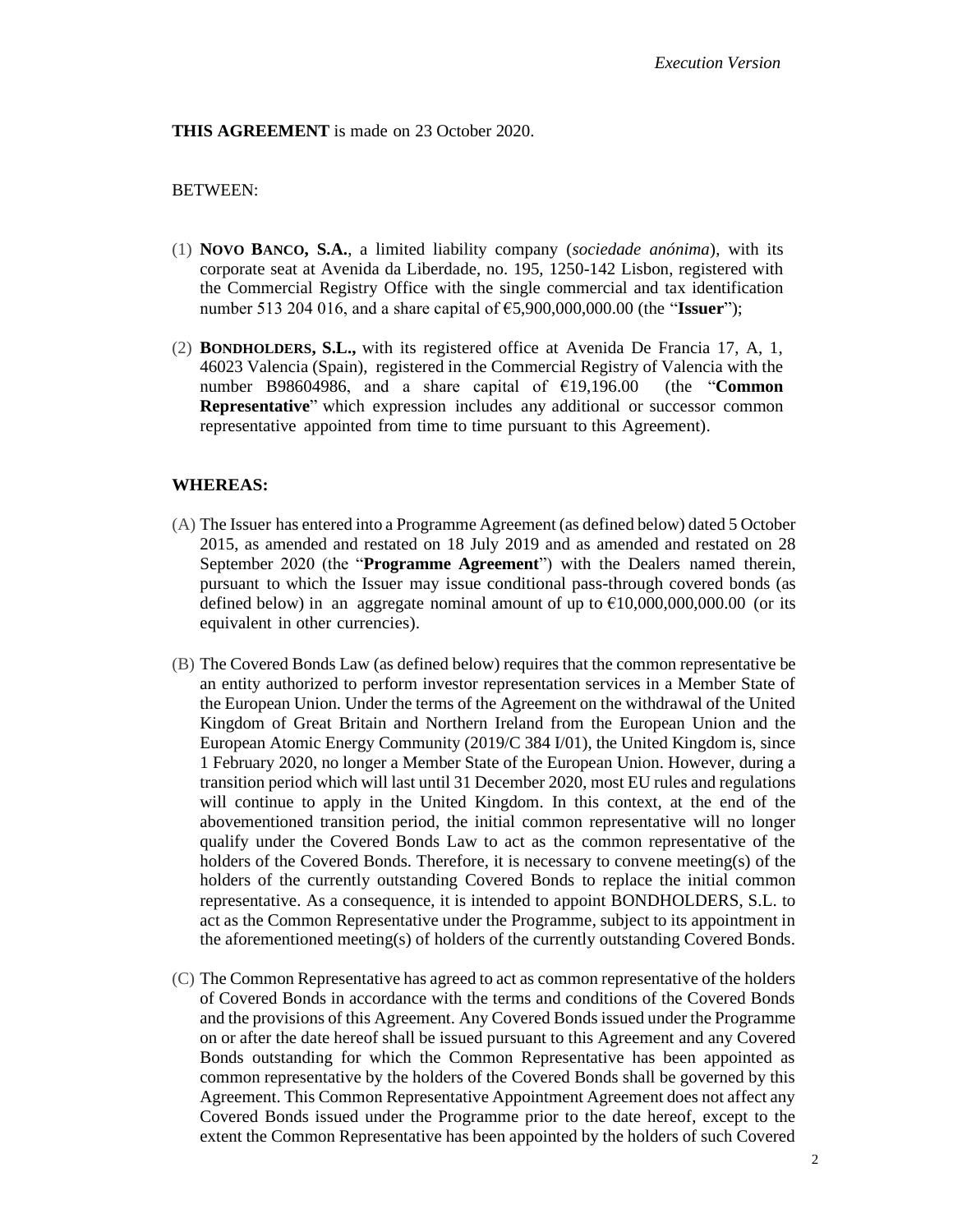#### **THIS AGREEMENT** is made on 23 October 2020.

#### BETWEEN:

- (1) **NOVO BANCO, S.A.**, a limited liability company (*sociedade anónima*), with its corporate seat at Avenida da Liberdade, no. 195, 1250-142 Lisbon, registered with the Commercial Registry Office with the single commercial and tax identification number 513 204 016, and a share capital of €5,900,000,000.00 (the "**Issuer**");
- (2) **BONDHOLDERS, S.L.,** with its registered office at Avenida De Francia 17, A, 1, 46023 Valencia (Spain), registered in the Commercial Registry of Valencia with the number B98604986, and a share capital of €19,196.00 (the "**Common Representative**" which expression includes any additional or successor common representative appointed from time to time pursuant to this Agreement).

#### **WHEREAS:**

- (A) The Issuer has entered into a Programme Agreement (as defined below) dated 5 October 2015, as amended and restated on 18 July 2019 and as amended and restated on 28 September 2020 (the "**Programme Agreement**") with the Dealers named therein, pursuant to which the Issuer may issue conditional pass-through covered bonds (as defined below) in an aggregate nominal amount of up to  $\epsilon$ 10,000,000,000.00 (or its equivalent in other currencies).
- (B) The Covered Bonds Law (as defined below) requires that the common representative be an entity authorized to perform investor representation services in a Member State of the European Union. Under the terms of the Agreement on the withdrawal of the United Kingdom of Great Britain and Northern Ireland from the European Union and the European Atomic Energy Community (2019/C 384 I/01), the United Kingdom is, since 1 February 2020, no longer a Member State of the European Union. However, during a transition period which will last until 31 December 2020, most EU rules and regulations will continue to apply in the United Kingdom. In this context, at the end of the abovementioned transition period, the initial common representative will no longer qualify under the Covered Bonds Law to act as the common representative of the holders of the Covered Bonds. Therefore, it is necessary to convene meeting(s) of the holders of the currently outstanding Covered Bonds to replace the initial common representative. As a consequence, it is intended to appoint BONDHOLDERS, S.L. to act as the Common Representative under the Programme, subject to its appointment in the aforementioned meeting(s) of holders of the currently outstanding Covered Bonds.
- (C) The Common Representative has agreed to act as common representative of the holders of Covered Bonds in accordance with the terms and conditions of the Covered Bonds and the provisions of this Agreement. Any Covered Bonds issued under the Programme on or after the date hereof shall be issued pursuant to this Agreement and any Covered Bonds outstanding for which the Common Representative has been appointed as common representative by the holders of the Covered Bonds shall be governed by this Agreement. This Common Representative Appointment Agreement does not affect any Covered Bonds issued under the Programme prior to the date hereof, except to the extent the Common Representative has been appointed by the holders of such Covered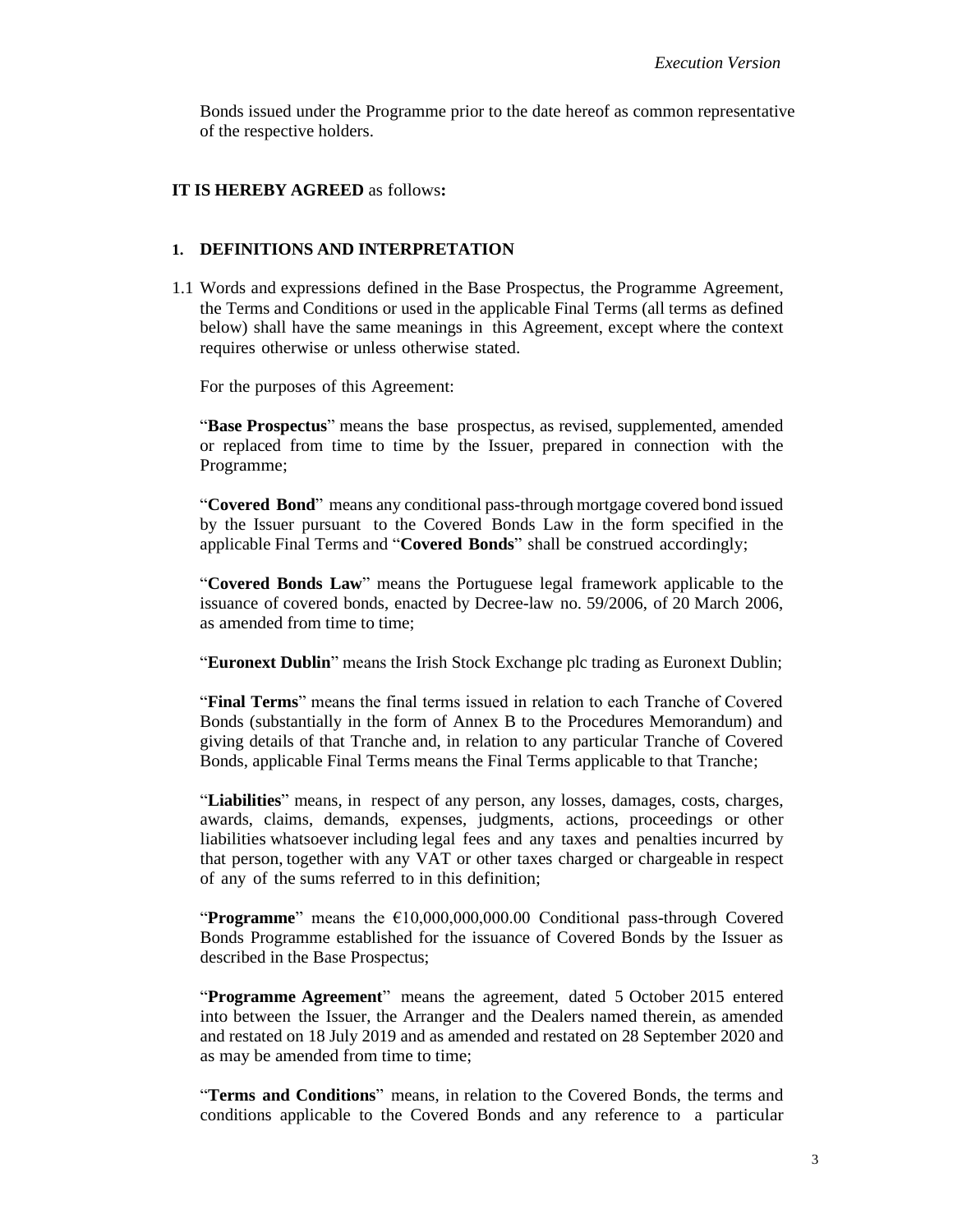Bonds issued under the Programme prior to the date hereof as common representative of the respective holders.

#### **IT IS HEREBY AGREED** as follows**:**

#### **1. DEFINITIONS AND INTERPRETATION**

1.1 Words and expressions defined in the Base Prospectus, the Programme Agreement, the Terms and Conditions or used in the applicable Final Terms (all terms as defined below) shall have the same meanings in this Agreement, except where the context requires otherwise or unless otherwise stated.

For the purposes of this Agreement:

"**Base Prospectus**" means the base prospectus, as revised, supplemented, amended or replaced from time to time by the Issuer, prepared in connection with the Programme;

"**Covered Bond**" means any conditional pass-through mortgage covered bond issued by the Issuer pursuant to the Covered Bonds Law in the form specified in the applicable Final Terms and "**Covered Bonds**" shall be construed accordingly;

"**Covered Bonds Law**" means the Portuguese legal framework applicable to the issuance of covered bonds, enacted by Decree-law no. 59/2006, of 20 March 2006, as amended from time to time;

"**Euronext Dublin**" means the Irish Stock Exchange plc trading as Euronext Dublin;

"**Final Terms**" means the final terms issued in relation to each Tranche of Covered Bonds (substantially in the form of Annex B to the Procedures Memorandum) and giving details of that Tranche and, in relation to any particular Tranche of Covered Bonds, applicable Final Terms means the Final Terms applicable to that Tranche;

"**Liabilities**" means, in respect of any person, any losses, damages, costs, charges, awards, claims, demands, expenses, judgments, actions, proceedings or other liabilities whatsoever including legal fees and any taxes and penalties incurred by that person, together with any VAT or other taxes charged or chargeable in respect of any of the sums referred to in this definition;

"**Programme**" means the  $\epsilon$ 10,000,000,000.00 Conditional pass-through Covered Bonds Programme established for the issuance of Covered Bonds by the Issuer as described in the Base Prospectus;

"**Programme Agreement**" means the agreement, dated 5 October 2015 entered into between the Issuer, the Arranger and the Dealers named therein, as amended and restated on 18 July 2019 and as amended and restated on 28 September 2020 and as may be amended from time to time;

"**Terms and Conditions**" means, in relation to the Covered Bonds, the terms and conditions applicable to the Covered Bonds and any reference to a particular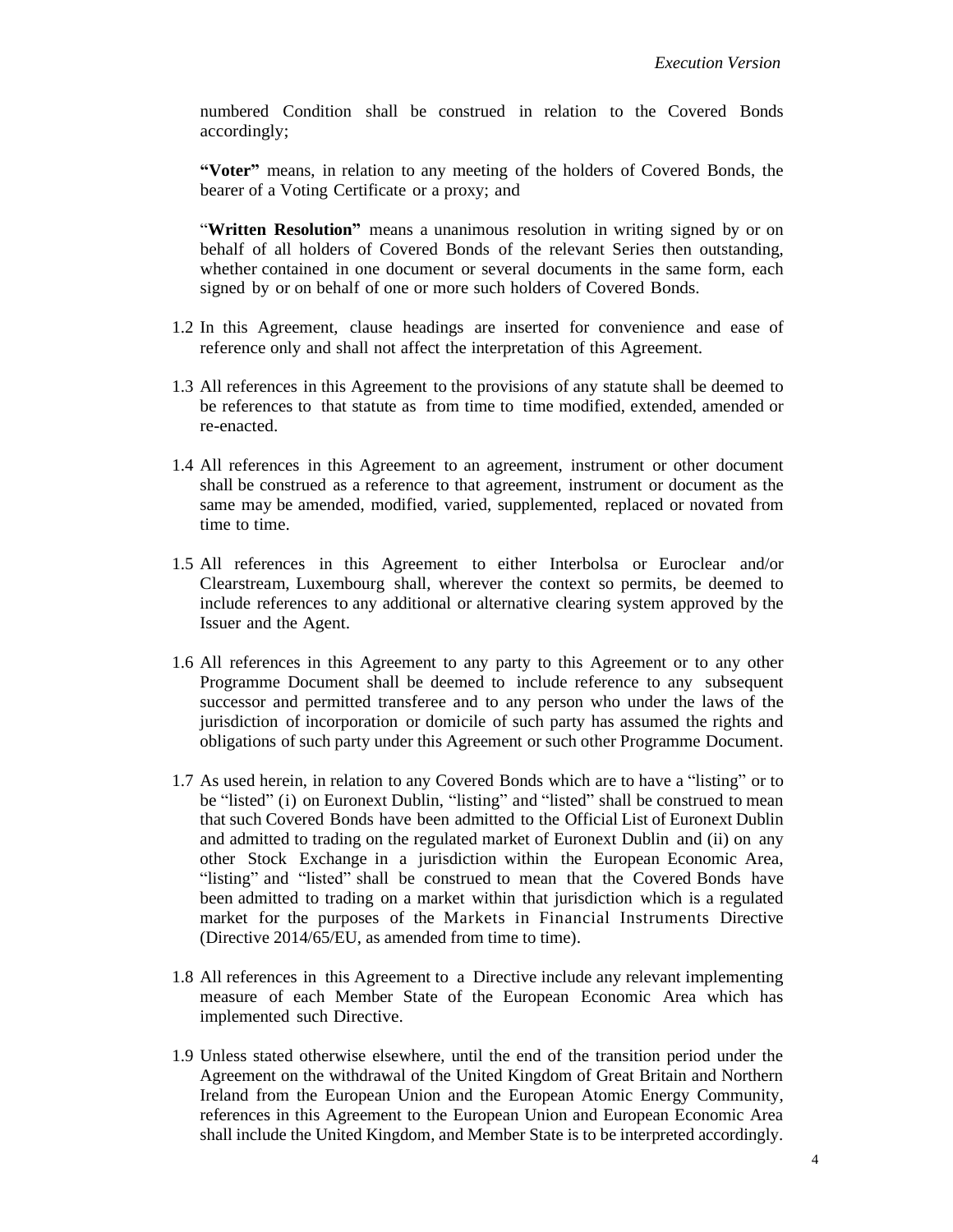numbered Condition shall be construed in relation to the Covered Bonds accordingly;

**"Voter"** means, in relation to any meeting of the holders of Covered Bonds, the bearer of a Voting Certificate or a proxy; and

"**Written Resolution"** means a unanimous resolution in writing signed by or on behalf of all holders of Covered Bonds of the relevant Series then outstanding, whether contained in one document or several documents in the same form, each signed by or on behalf of one or more such holders of Covered Bonds.

- 1.2 In this Agreement, clause headings are inserted for convenience and ease of reference only and shall not affect the interpretation of this Agreement.
- 1.3 All references in this Agreement to the provisions of any statute shall be deemed to be references to that statute as from time to time modified, extended, amended or re-enacted.
- 1.4 All references in this Agreement to an agreement, instrument or other document shall be construed as a reference to that agreement, instrument or document as the same may be amended, modified, varied, supplemented, replaced or novated from time to time.
- 1.5 All references in this Agreement to either Interbolsa or Euroclear and/or Clearstream, Luxembourg shall, wherever the context so permits, be deemed to include references to any additional or alternative clearing system approved by the Issuer and the Agent.
- 1.6 All references in this Agreement to any party to this Agreement or to any other Programme Document shall be deemed to include reference to any subsequent successor and permitted transferee and to any person who under the laws of the jurisdiction of incorporation or domicile of such party has assumed the rights and obligations of such party under this Agreement or such other Programme Document.
- 1.7 As used herein, in relation to any Covered Bonds which are to have a "listing" or to be "listed" (i) on Euronext Dublin, "listing" and "listed" shall be construed to mean that such Covered Bonds have been admitted to the Official List of Euronext Dublin and admitted to trading on the regulated market of Euronext Dublin and (ii) on any other Stock Exchange in a jurisdiction within the European Economic Area, "listing" and "listed" shall be construed to mean that the Covered Bonds have been admitted to trading on a market within that jurisdiction which is a regulated market for the purposes of the Markets in Financial Instruments Directive (Directive 2014/65/EU, as amended from time to time).
- 1.8 All references in this Agreement to a Directive include any relevant implementing measure of each Member State of the European Economic Area which has implemented such Directive.
- 1.9 Unless stated otherwise elsewhere, until the end of the transition period under the Agreement on the withdrawal of the United Kingdom of Great Britain and Northern Ireland from the European Union and the European Atomic Energy Community, references in this Agreement to the European Union and European Economic Area shall include the United Kingdom, and Member State is to be interpreted accordingly.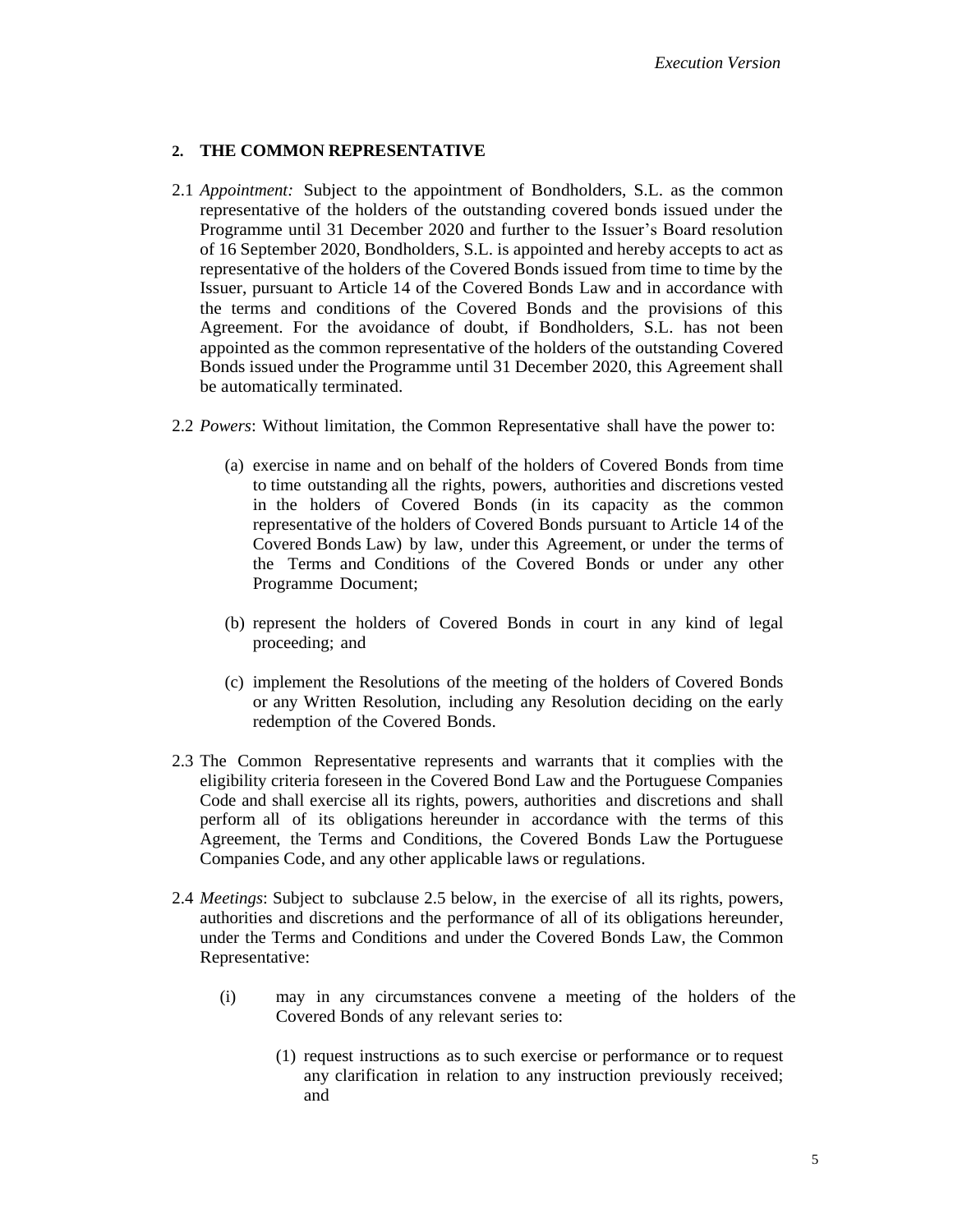# <span id="page-4-0"></span>**2. THE COMMON REPRESENTATIVE**

- 2.1 *Appointment:* Subject to the appointment of Bondholders, S.L. as the common representative of the holders of the outstanding covered bonds issued under the Programme until 31 December 2020 and further to the Issuer's Board resolution of 16 September 2020, Bondholders, S.L. is appointed and hereby accepts to act as representative of the holders of the Covered Bonds issued from time to time by the Issuer, pursuant to Article 14 of the Covered Bonds Law and in accordance with the terms and conditions of the Covered Bonds and the provisions of this Agreement. For the avoidance of doubt, if Bondholders, S.L. has not been appointed as the common representative of the holders of the outstanding Covered Bonds issued under the Programme until 31 December 2020, this Agreement shall be automatically terminated.
- 2.2 *Powers*: Without limitation, the Common Representative shall have the power to:
	- (a) exercise in name and on behalf of the holders of Covered Bonds from time to time outstanding all the rights, powers, authorities and discretions vested in the holders of Covered Bonds (in its capacity as the common representative of the holders of Covered Bonds pursuant to Article 14 of the Covered Bonds Law) by law, under this Agreement, or under the terms of the Terms and Conditions of the Covered Bonds or under any other Programme Document;
	- (b) represent the holders of Covered Bonds in court in any kind of legal proceeding; and
	- (c) implement the Resolutions of the meeting of the holders of Covered Bonds or any Written Resolution, including any Resolution deciding on the early redemption of the Covered Bonds.
- 2.3 The Common Representative represents and warrants that it complies with the eligibility criteria foreseen in the Covered Bond Law and the Portuguese Companies Code and shall exercise all its rights, powers, authorities and discretions and shall perform all of its obligations hereunder in accordance with the terms of this Agreement, the Terms and Conditions, the Covered Bonds Law the Portuguese Companies Code, and any other applicable laws or regulations.
- 2.4 *Meetings*: Subject to subclause [2.5](#page-5-0) below, in the exercise of all its rights, powers, authorities and discretions and the performance of all of its obligations hereunder, under the Terms and Conditions and under the Covered Bonds Law, the Common Representative:
	- (i) may in any circumstances convene a meeting of the holders of the Covered Bonds of any relevant series to:
		- (1) request instructions as to such exercise or performance or to request any clarification in relation to any instruction previously received; and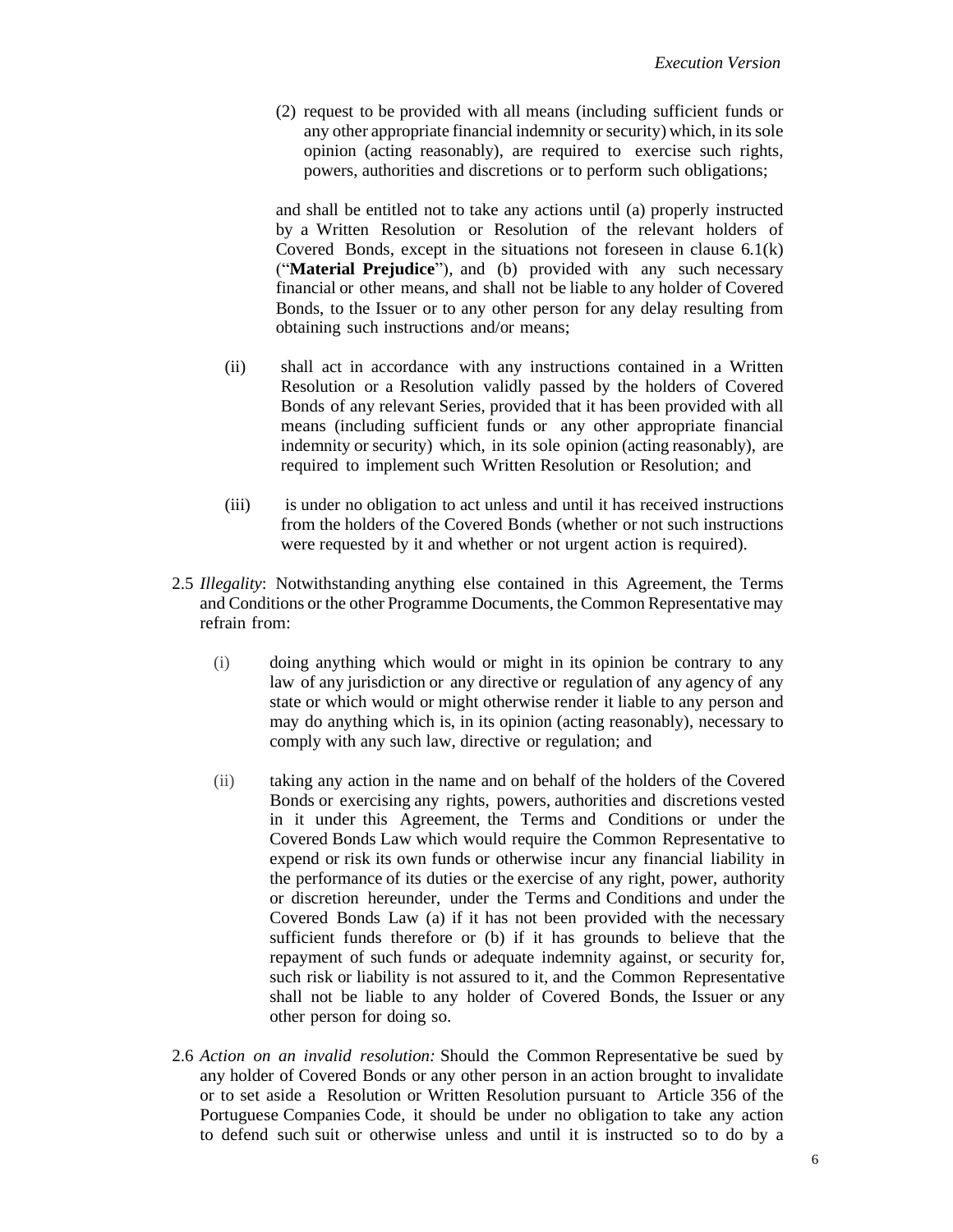(2) request to be provided with all means (including sufficient funds or any other appropriate financial indemnity or security) which, in its sole opinion (acting reasonably), are required to exercise such rights, powers, authorities and discretions or to perform such obligations;

and shall be entitled not to take any actions until (a) properly instructed by a Written Resolution or Resolution of the relevant holders of Covered Bonds, except in the situations not foreseen in clause  $6.1(k)$  $6.1(k)$ ("**Material Prejudice**"), and (b) provided with any such necessary financial or other means, and shall not be liable to any holder of Covered Bonds, to the Issuer or to any other person for any delay resulting from obtaining such instructions and/or means;

- (ii) shall act in accordance with any instructions contained in a Written Resolution or a Resolution validly passed by the holders of Covered Bonds of any relevant Series, provided that it has been provided with all means (including sufficient funds or any other appropriate financial indemnity or security) which, in its sole opinion (acting reasonably), are required to implement such Written Resolution or Resolution; and
- (iii) is under no obligation to act unless and until it has received instructions from the holders of the Covered Bonds (whether or not such instructions were requested by it and whether or not urgent action is required).
- <span id="page-5-0"></span>2.5 *Illegality*: Notwithstanding anything else contained in this Agreement, the Terms and Conditions or the other Programme Documents, the Common Representative may refrain from:
	- (i) doing anything which would or might in its opinion be contrary to any law of any jurisdiction or any directive or regulation of any agency of any state or which would or might otherwise render it liable to any person and may do anything which is, in its opinion (acting reasonably), necessary to comply with any such law, directive or regulation; and
	- (ii) taking any action in the name and on behalf of the holders of the Covered Bonds or exercising any rights, powers, authorities and discretions vested in it under this Agreement, the Terms and Conditions or under the Covered Bonds Law which would require the Common Representative to expend or risk its own funds or otherwise incur any financial liability in the performance of its duties or the exercise of any right, power, authority or discretion hereunder, under the Terms and Conditions and under the Covered Bonds Law (a) if it has not been provided with the necessary sufficient funds therefore or (b) if it has grounds to believe that the repayment of such funds or adequate indemnity against, or security for, such risk or liability is not assured to it, and the Common Representative shall not be liable to any holder of Covered Bonds, the Issuer or any other person for doing so.
- 2.6 *Action on an invalid resolution:* Should the Common Representative be sued by any holder of Covered Bonds or any other person in an action brought to invalidate or to set aside a Resolution or Written Resolution pursuant to Article 356 of the Portuguese Companies Code, it should be under no obligation to take any action to defend such suit or otherwise unless and until it is instructed so to do by a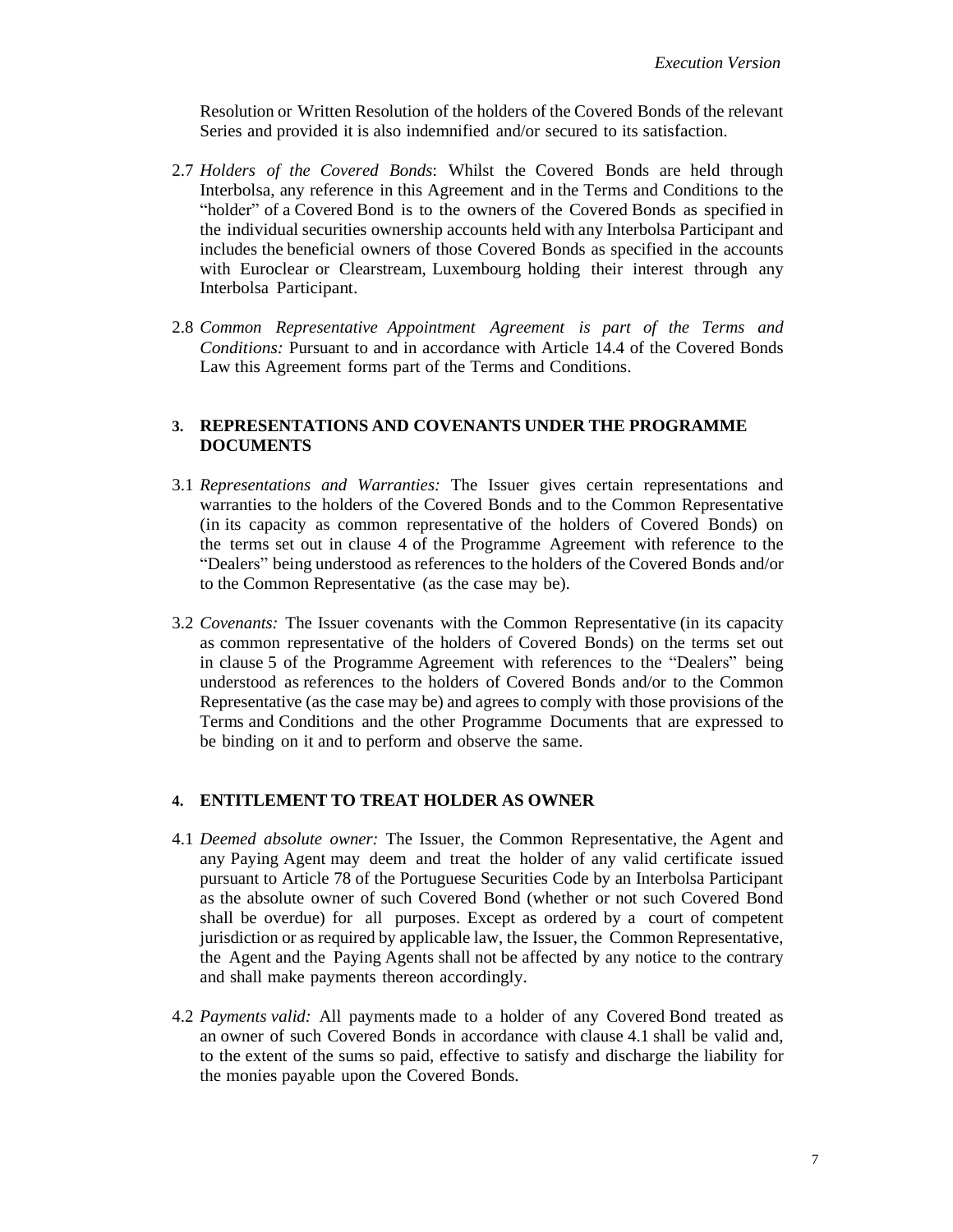Resolution or Written Resolution of the holders of the Covered Bonds of the relevant Series and provided it is also indemnified and/or secured to its satisfaction.

- 2.7 *Holders of the Covered Bonds*: Whilst the Covered Bonds are held through Interbolsa, any reference in this Agreement and in the Terms and Conditions to the "holder" of a Covered Bond is to the owners of the Covered Bonds as specified in the individual securities ownership accounts held with any Interbolsa Participant and includes the beneficial owners of those Covered Bonds as specified in the accounts with Euroclear or Clearstream, Luxembourg holding their interest through any Interbolsa Participant.
- 2.8 *Common Representative Appointment Agreement is part of the Terms and Conditions:* Pursuant to and in accordance with Article 14.4 of the Covered Bonds Law this Agreement forms part of the Terms and Conditions.

## **3. REPRESENTATIONS AND COVENANTS UNDER THE PROGRAMME DOCUMENTS**

- 3.1 *Representations and Warranties:* The Issuer gives certain representations and warranties to the holders of the Covered Bonds and to the Common Representative (in its capacity as common representative of the holders of Covered Bonds) on the terms set out in clause 4 of the Programme Agreement with reference to the "Dealers" being understood as references to the holders of the Covered Bonds and/or to the Common Representative (as the case may be).
- 3.2 *Covenants:* The Issuer covenants with the Common Representative (in its capacity as common representative of the holders of Covered Bonds) on the terms set out in clause 5 of the Programme Agreement with references to the "Dealers" being understood as references to the holders of Covered Bonds and/or to the Common Representative (as the case may be) and agrees to comply with those provisions of the Terms and Conditions and the other Programme Documents that are expressed to be binding on it and to perform and observe the same.

# **4. ENTITLEMENT TO TREAT HOLDER AS OWNER**

- <span id="page-6-0"></span>4.1 *Deemed absolute owner:* The Issuer, the Common Representative, the Agent and any Paying Agent may deem and treat the holder of any valid certificate issued pursuant to Article 78 of the Portuguese Securities Code by an Interbolsa Participant as the absolute owner of such Covered Bond (whether or not such Covered Bond shall be overdue) for all purposes. Except as ordered by a court of competent jurisdiction or as required by applicable law, the Issuer, the Common Representative, the Agent and the Paying Agents shall not be affected by any notice to the contrary and shall make payments thereon accordingly.
- 4.2 *Payments valid:* All payments made to a holder of any Covered Bond treated as an owner of such Covered Bonds in accordance with clause [4.1](#page-6-0) shall be valid and, to the extent of the sums so paid, effective to satisfy and discharge the liability for the monies payable upon the Covered Bonds.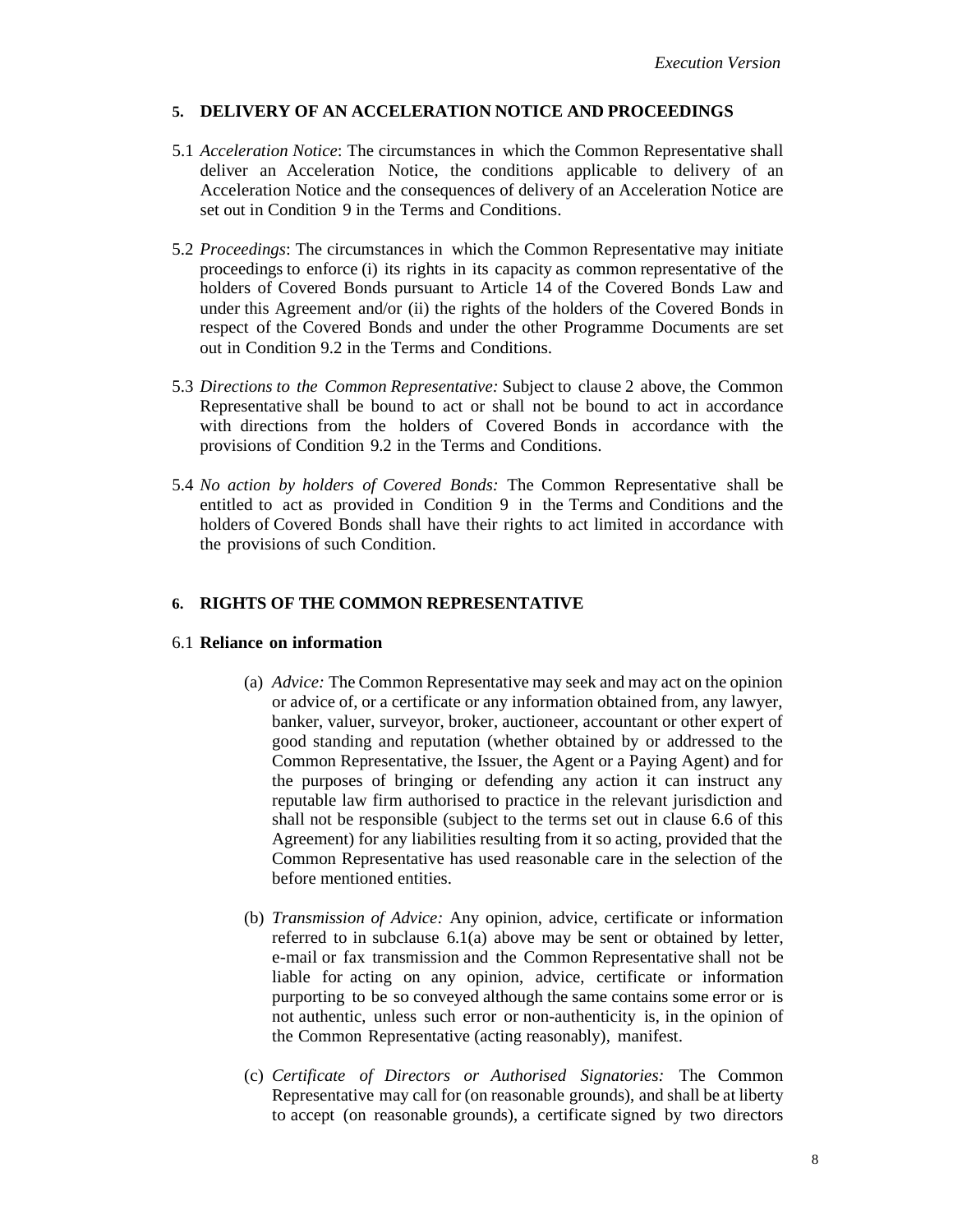# **5. DELIVERY OF AN ACCELERATION NOTICE AND PROCEEDINGS**

- 5.1 *Acceleration Notice*: The circumstances in which the Common Representative shall deliver an Acceleration Notice, the conditions applicable to delivery of an Acceleration Notice and the consequences of delivery of an Acceleration Notice are set out in Condition 9 in the Terms and Conditions.
- 5.2 *Proceedings*: The circumstances in which the Common Representative may initiate proceedings to enforce (i) its rights in its capacity as common representative of the holders of Covered Bonds pursuant to Article 14 of the Covered Bonds Law and under this Agreement and/or (ii) the rights of the holders of the Covered Bonds in respect of the Covered Bonds and under the other Programme Documents are set out in Condition 9.2 in the Terms and Conditions.
- 5.3 *Directions to the Common Representative:* Subject to claus[e 2](#page-4-0) above, the Common Representative shall be bound to act or shall not be bound to act in accordance with directions from the holders of Covered Bonds in accordance with the provisions of Condition 9.2 in the Terms and Conditions.
- 5.4 *No action by holders of Covered Bonds:* The Common Representative shall be entitled to act as provided in Condition 9 in the Terms and Conditions and the holders of Covered Bonds shall have their rights to act limited in accordance with the provisions of such Condition.

# **6. RIGHTS OF THE COMMON REPRESENTATIVE**

# <span id="page-7-1"></span><span id="page-7-0"></span>6.1 **Reliance on information**

- (a) *Advice:* The Common Representative may seek and may act on the opinion or advice of, or a certificate or any information obtained from, any lawyer, banker, valuer, surveyor, broker, auctioneer, accountant or other expert of good standing and reputation (whether obtained by or addressed to the Common Representative, the Issuer, the Agent or a Paying Agent) and for the purposes of bringing or defending any action it can instruct any reputable law firm authorised to practice in the relevant jurisdiction and shall not be responsible (subject to the terms set out in clause 6.6 of this Agreement) for any liabilities resulting from it so acting, provided that the Common Representative has used reasonable care in the selection of the before mentioned entities.
- (b) *Transmission of Advice:* Any opinion, advice, certificate or information referred to in subclause [6.1](#page-7-0)[\(a\)](#page-7-1) above may be sent or obtained by letter, e-mail or fax transmission and the Common Representative shall not be liable for acting on any opinion, advice, certificate or information purporting to be so conveyed although the same contains some error or is not authentic, unless such error or non-authenticity is, in the opinion of the Common Representative (acting reasonably), manifest.
- (c) *Certificate of Directors or Authorised Signatories:* The Common Representative may call for (on reasonable grounds), and shall be at liberty to accept (on reasonable grounds), a certificate signed by two directors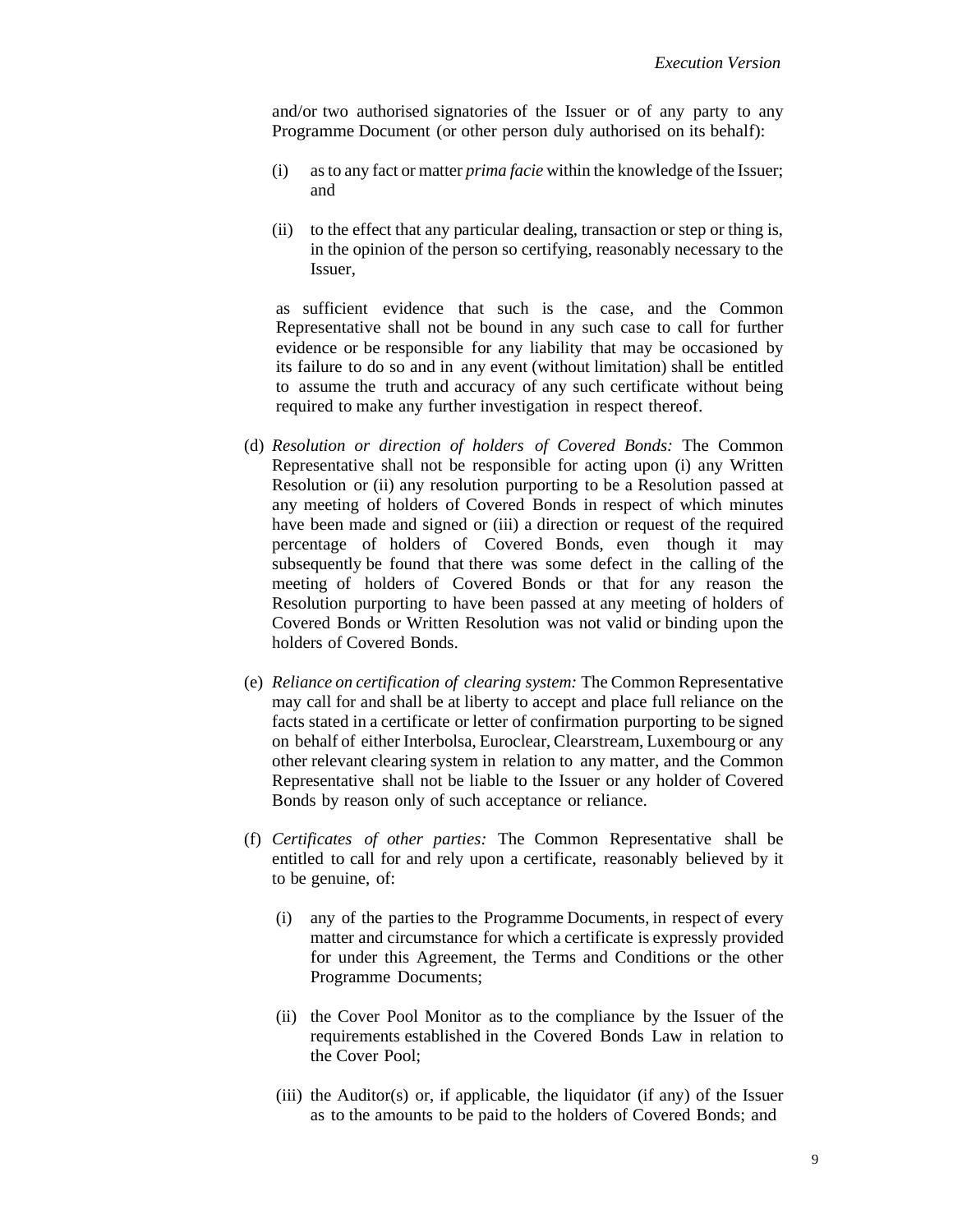and/or two authorised signatories of the Issuer or of any party to any Programme Document (or other person duly authorised on its behalf):

- (i) as to any fact or matter *prima facie* within the knowledge of the Issuer; and
- (ii) to the effect that any particular dealing, transaction or step or thing is, in the opinion of the person so certifying, reasonably necessary to the Issuer,

as sufficient evidence that such is the case, and the Common Representative shall not be bound in any such case to call for further evidence or be responsible for any liability that may be occasioned by its failure to do so and in any event (without limitation) shall be entitled to assume the truth and accuracy of any such certificate without being required to make any further investigation in respect thereof.

- (d) *Resolution or direction of holders of Covered Bonds:* The Common Representative shall not be responsible for acting upon (i) any Written Resolution or (ii) any resolution purporting to be a Resolution passed at any meeting of holders of Covered Bonds in respect of which minutes have been made and signed or (iii) a direction or request of the required percentage of holders of Covered Bonds, even though it may subsequently be found that there was some defect in the calling of the meeting of holders of Covered Bonds or that for any reason the Resolution purporting to have been passed at any meeting of holders of Covered Bonds or Written Resolution was not valid or binding upon the holders of Covered Bonds.
- (e) *Reliance on certification of clearing system:* The Common Representative may call for and shall be at liberty to accept and place full reliance on the facts stated in a certificate or letter of confirmation purporting to be signed on behalf of either Interbolsa, Euroclear, Clearstream, Luxembourg or any other relevant clearing system in relation to any matter, and the Common Representative shall not be liable to the Issuer or any holder of Covered Bonds by reason only of such acceptance or reliance.
- (f) *Certificates of other parties:* The Common Representative shall be entitled to call for and rely upon a certificate, reasonably believed by it to be genuine, of:
	- (i) any of the parties to the Programme Documents, in respect of every matter and circumstance for which a certificate is expressly provided for under this Agreement, the Terms and Conditions or the other Programme Documents;
	- (ii) the Cover Pool Monitor as to the compliance by the Issuer of the requirements established in the Covered Bonds Law in relation to the Cover Pool;
	- (iii) the Auditor(s) or, if applicable, the liquidator (if any) of the Issuer as to the amounts to be paid to the holders of Covered Bonds; and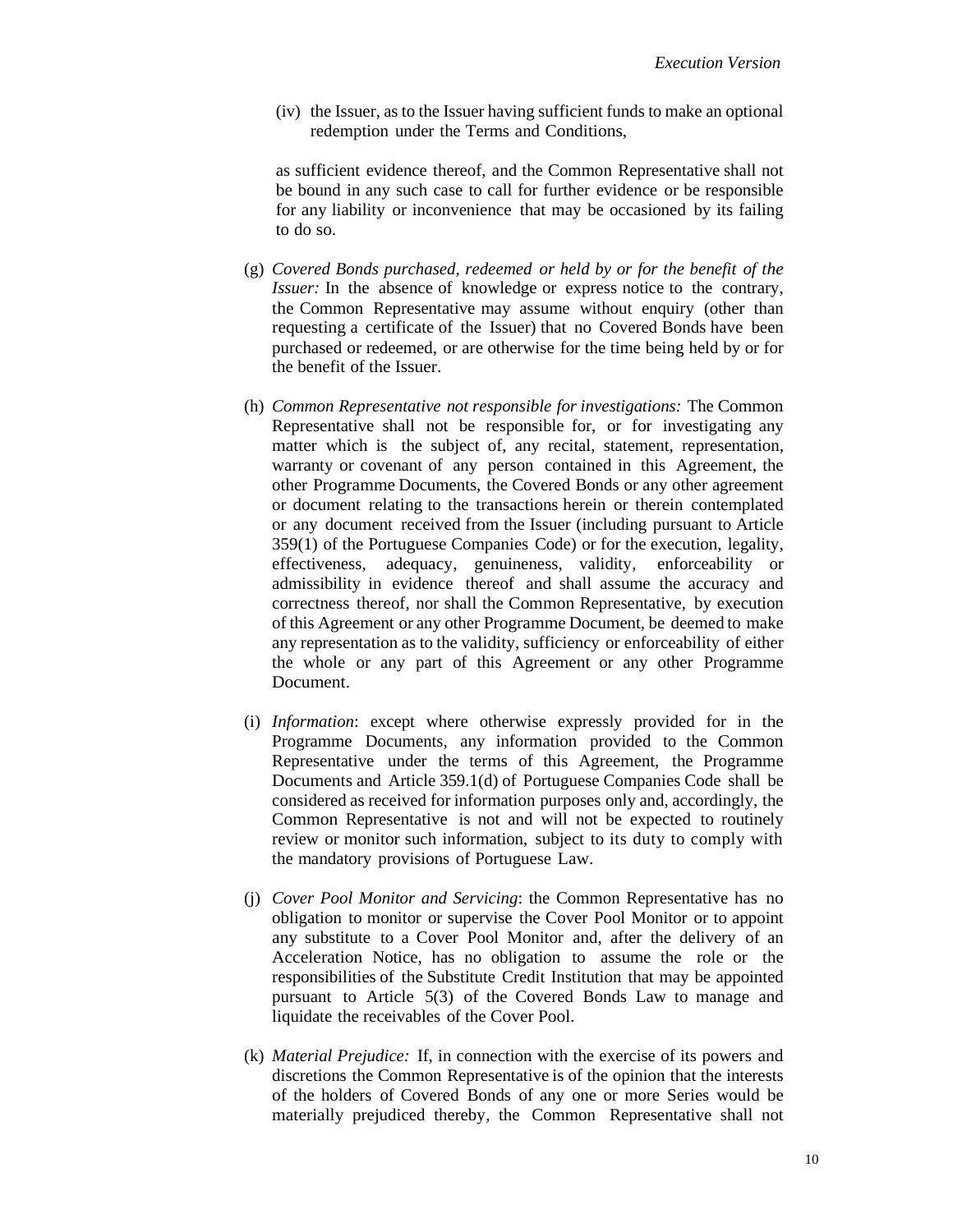(iv) the Issuer, as to the Issuer having sufficient funds to make an optional redemption under the Terms and Conditions,

as sufficient evidence thereof, and the Common Representative shall not be bound in any such case to call for further evidence or be responsible for any liability or inconvenience that may be occasioned by its failing to do so.

- (g) *Covered Bonds purchased, redeemed or held by or for the benefit of the Issuer:* In the absence of knowledge or express notice to the contrary, the Common Representative may assume without enquiry (other than requesting a certificate of the Issuer) that no Covered Bonds have been purchased or redeemed, or are otherwise for the time being held by or for the benefit of the Issuer.
- (h) *Common Representative not responsible for investigations:* The Common Representative shall not be responsible for, or for investigating any matter which is the subject of, any recital, statement, representation, warranty or covenant of any person contained in this Agreement, the other Programme Documents, the Covered Bonds or any other agreement or document relating to the transactions herein or therein contemplated or any document received from the Issuer (including pursuant to Article 359(1) of the Portuguese Companies Code) or for the execution, legality, effectiveness, adequacy, genuineness, validity, enforceability or admissibility in evidence thereof and shall assume the accuracy and correctness thereof, nor shall the Common Representative, by execution of this Agreement or any other Programme Document, be deemed to make any representation as to the validity, sufficiency or enforceability of either the whole or any part of this Agreement or any other Programme Document.
- (i) *Information*: except where otherwise expressly provided for in the Programme Documents, any information provided to the Common Representative under the terms of this Agreement, the Programme Documents and Article 359.1(d) of Portuguese Companies Code shall be considered as received for information purposes only and, accordingly, the Common Representative is not and will not be expected to routinely review or monitor such information, subject to its duty to comply with the mandatory provisions of Portuguese Law.
- (j) *Cover Pool Monitor and Servicing*: the Common Representative has no obligation to monitor or supervise the Cover Pool Monitor or to appoint any substitute to a Cover Pool Monitor and, after the delivery of an Acceleration Notice, has no obligation to assume the role or the responsibilities of the Substitute Credit Institution that may be appointed pursuant to Article 5(3) of the Covered Bonds Law to manage and liquidate the receivables of the Cover Pool.
- <span id="page-9-0"></span>(k) *Material Prejudice:* If, in connection with the exercise of its powers and discretions the Common Representative is of the opinion that the interests of the holders of Covered Bonds of any one or more Series would be materially prejudiced thereby, the Common Representative shall not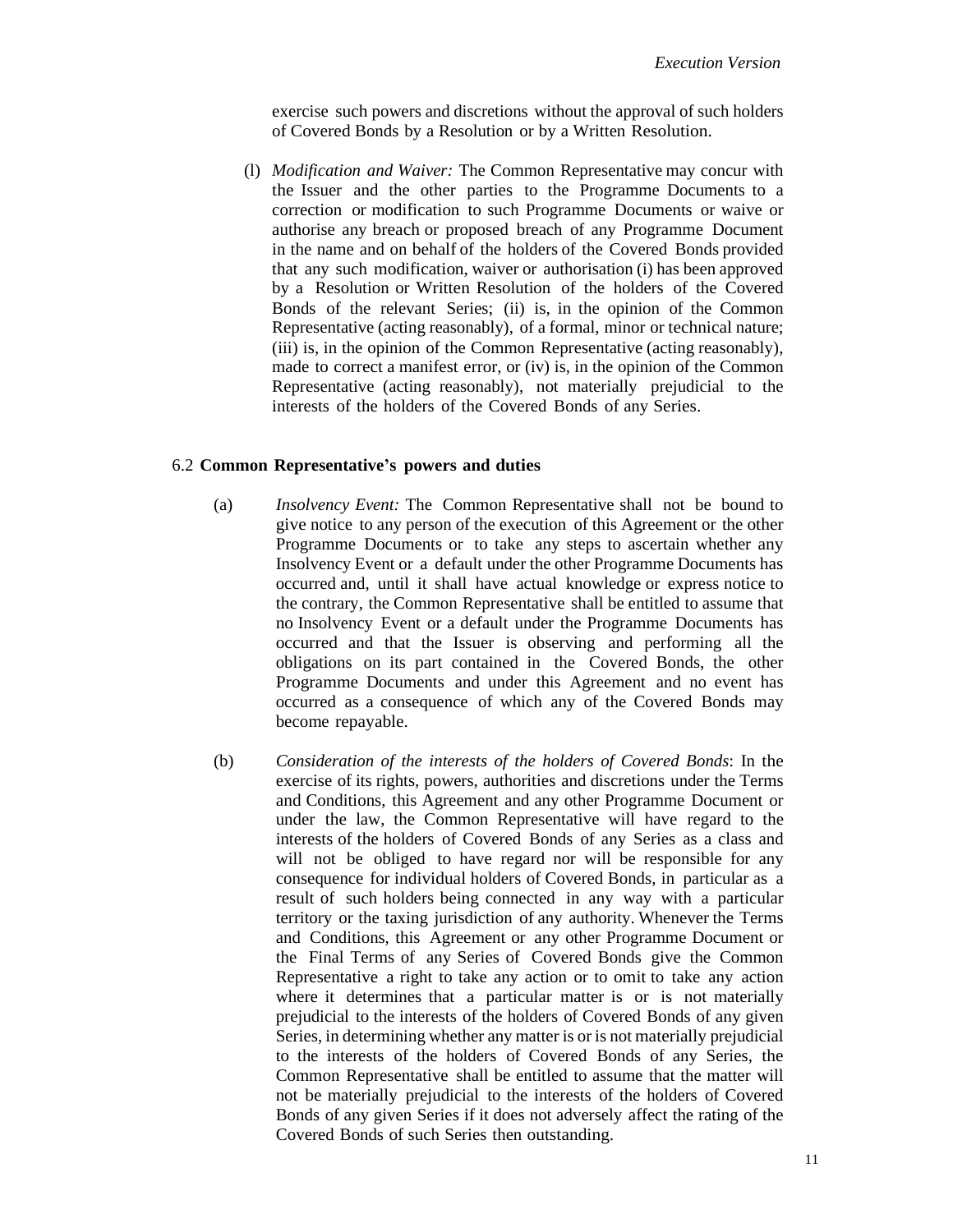exercise such powers and discretions without the approval of such holders of Covered Bonds by a Resolution or by a Written Resolution.

(l) *Modification and Waiver:* The Common Representative may concur with the Issuer and the other parties to the Programme Documents to a correction or modification to such Programme Documents or waive or authorise any breach or proposed breach of any Programme Document in the name and on behalf of the holders of the Covered Bonds provided that any such modification, waiver or authorisation (i) has been approved by a Resolution or Written Resolution of the holders of the Covered Bonds of the relevant Series; (ii) is, in the opinion of the Common Representative (acting reasonably), of a formal, minor or technical nature; (iii) is, in the opinion of the Common Representative (acting reasonably), made to correct a manifest error, or (iv) is, in the opinion of the Common Representative (acting reasonably), not materially prejudicial to the interests of the holders of the Covered Bonds of any Series.

#### 6.2 **Common Representative's powers and duties**

- (a) *Insolvency Event:* The Common Representative shall not be bound to give notice to any person of the execution of this Agreement or the other Programme Documents or to take any steps to ascertain whether any Insolvency Event or a default under the other Programme Documents has occurred and, until it shall have actual knowledge or express notice to the contrary, the Common Representative shall be entitled to assume that no Insolvency Event or a default under the Programme Documents has occurred and that the Issuer is observing and performing all the obligations on its part contained in the Covered Bonds, the other Programme Documents and under this Agreement and no event has occurred as a consequence of which any of the Covered Bonds may become repayable.
- (b) *Consideration of the interests of the holders of Covered Bonds*: In the exercise of its rights, powers, authorities and discretions under the Terms and Conditions, this Agreement and any other Programme Document or under the law, the Common Representative will have regard to the interests of the holders of Covered Bonds of any Series as a class and will not be obliged to have regard nor will be responsible for any consequence for individual holders of Covered Bonds, in particular as a result of such holders being connected in any way with a particular territory or the taxing jurisdiction of any authority. Whenever the Terms and Conditions, this Agreement or any other Programme Document or the Final Terms of any Series of Covered Bonds give the Common Representative a right to take any action or to omit to take any action where it determines that a particular matter is or is not materially prejudicial to the interests of the holders of Covered Bonds of any given Series, in determining whether any matter is or is not materially prejudicial to the interests of the holders of Covered Bonds of any Series, the Common Representative shall be entitled to assume that the matter will not be materially prejudicial to the interests of the holders of Covered Bonds of any given Series if it does not adversely affect the rating of the Covered Bonds of such Series then outstanding.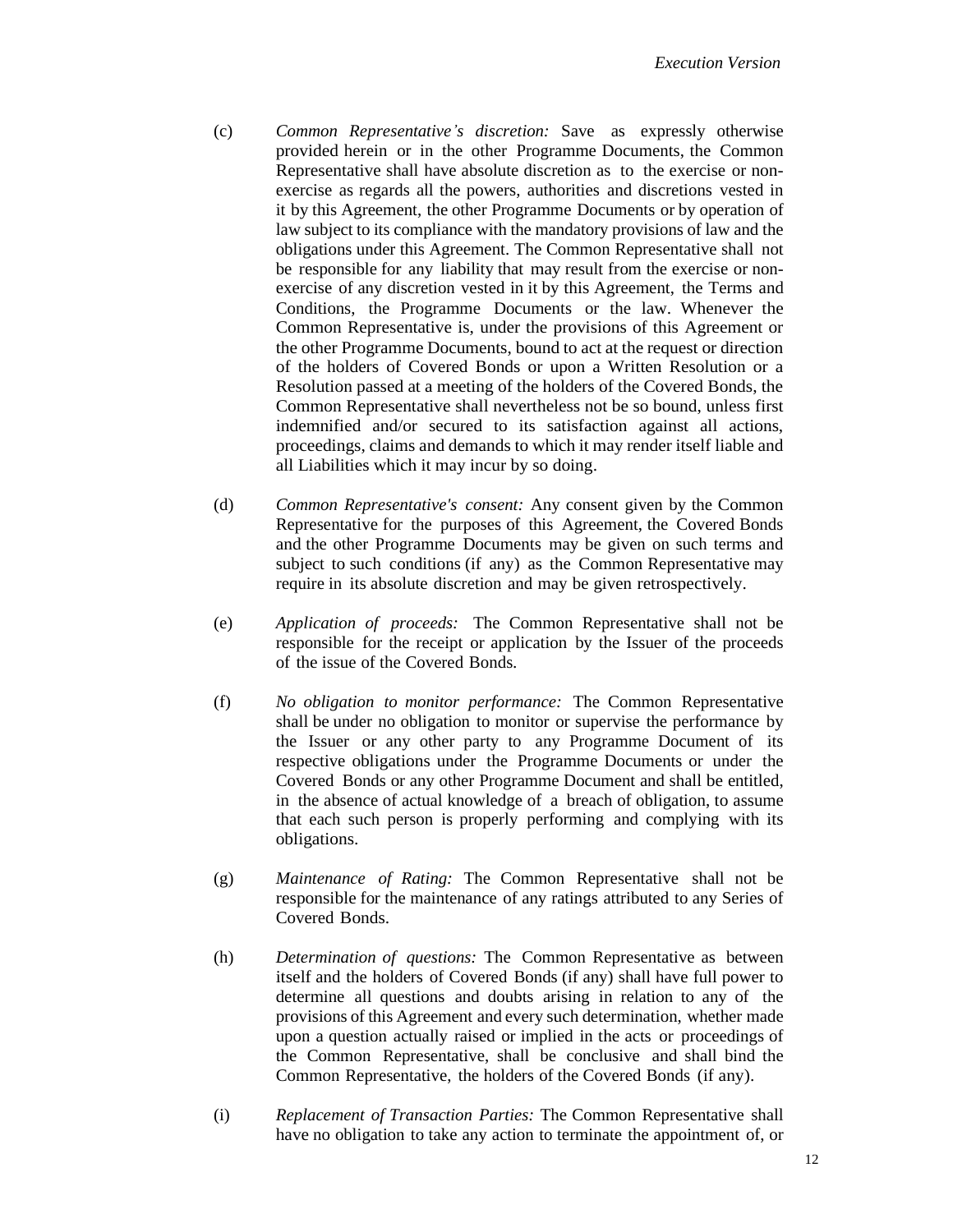- (c) *Common Representative's discretion:* Save as expressly otherwise provided herein or in the other Programme Documents, the Common Representative shall have absolute discretion as to the exercise or nonexercise as regards all the powers, authorities and discretions vested in it by this Agreement, the other Programme Documents or by operation of law subject to its compliance with the mandatory provisions of law and the obligations under this Agreement. The Common Representative shall not be responsible for any liability that may result from the exercise or nonexercise of any discretion vested in it by this Agreement, the Terms and Conditions, the Programme Documents or the law. Whenever the Common Representative is, under the provisions of this Agreement or the other Programme Documents, bound to act at the request or direction of the holders of Covered Bonds or upon a Written Resolution or a Resolution passed at a meeting of the holders of the Covered Bonds, the Common Representative shall nevertheless not be so bound, unless first indemnified and/or secured to its satisfaction against all actions, proceedings, claims and demands to which it may render itself liable and all Liabilities which it may incur by so doing.
- (d) *Common Representative's consent:* Any consent given by the Common Representative for the purposes of this Agreement, the Covered Bonds and the other Programme Documents may be given on such terms and subject to such conditions (if any) as the Common Representative may require in its absolute discretion and may be given retrospectively.
- (e) *Application of proceeds:* The Common Representative shall not be responsible for the receipt or application by the Issuer of the proceeds of the issue of the Covered Bonds.
- (f) *No obligation to monitor performance:* The Common Representative shall be under no obligation to monitor or supervise the performance by the Issuer or any other party to any Programme Document of its respective obligations under the Programme Documents or under the Covered Bonds or any other Programme Document and shall be entitled, in the absence of actual knowledge of a breach of obligation, to assume that each such person is properly performing and complying with its obligations.
- (g) *Maintenance of Rating:* The Common Representative shall not be responsible for the maintenance of any ratings attributed to any Series of Covered Bonds.
- (h) *Determination of questions:* The Common Representative as between itself and the holders of Covered Bonds (if any) shall have full power to determine all questions and doubts arising in relation to any of the provisions of this Agreement and every such determination, whether made upon a question actually raised or implied in the acts or proceedings of the Common Representative, shall be conclusive and shall bind the Common Representative, the holders of the Covered Bonds (if any).
- (i) *Replacement of Transaction Parties:* The Common Representative shall have no obligation to take any action to terminate the appointment of, or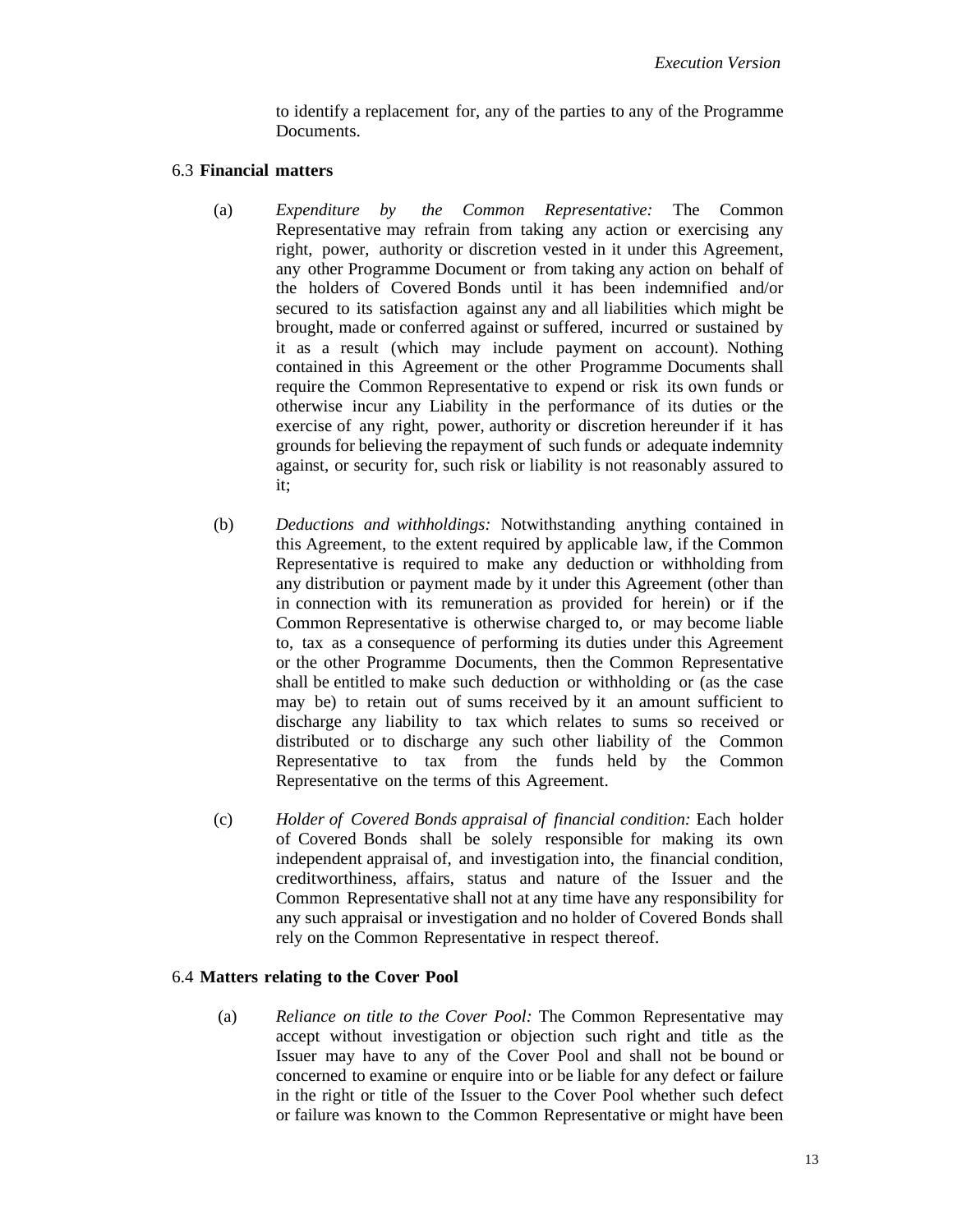to identify a replacement for, any of the parties to any of the Programme Documents.

#### 6.3 **Financial matters**

- (a) *Expenditure by the Common Representative:* The Common Representative may refrain from taking any action or exercising any right, power, authority or discretion vested in it under this Agreement, any other Programme Document or from taking any action on behalf of the holders of Covered Bonds until it has been indemnified and/or secured to its satisfaction against any and all liabilities which might be brought, made or conferred against or suffered, incurred or sustained by it as a result (which may include payment on account). Nothing contained in this Agreement or the other Programme Documents shall require the Common Representative to expend or risk its own funds or otherwise incur any Liability in the performance of its duties or the exercise of any right, power, authority or discretion hereunder if it has grounds for believing the repayment of such funds or adequate indemnity against, or security for, such risk or liability is not reasonably assured to it;
- (b) *Deductions and withholdings:* Notwithstanding anything contained in this Agreement, to the extent required by applicable law, if the Common Representative is required to make any deduction or withholding from any distribution or payment made by it under this Agreement (other than in connection with its remuneration as provided for herein) or if the Common Representative is otherwise charged to, or may become liable to, tax as a consequence of performing its duties under this Agreement or the other Programme Documents, then the Common Representative shall be entitled to make such deduction or withholding or (as the case may be) to retain out of sums received by it an amount sufficient to discharge any liability to tax which relates to sums so received or distributed or to discharge any such other liability of the Common Representative to tax from the funds held by the Common Representative on the terms of this Agreement.
- (c) *Holder of Covered Bonds appraisal of financial condition:* Each holder of Covered Bonds shall be solely responsible for making its own independent appraisal of, and investigation into, the financial condition, creditworthiness, affairs, status and nature of the Issuer and the Common Representative shall not at any time have any responsibility for any such appraisal or investigation and no holder of Covered Bonds shall rely on the Common Representative in respect thereof.

#### 6.4 **Matters relating to the Cover Pool**

(a) *Reliance on title to the Cover Pool:* The Common Representative may accept without investigation or objection such right and title as the Issuer may have to any of the Cover Pool and shall not be bound or concerned to examine or enquire into or be liable for any defect or failure in the right or title of the Issuer to the Cover Pool whether such defect or failure was known to the Common Representative or might have been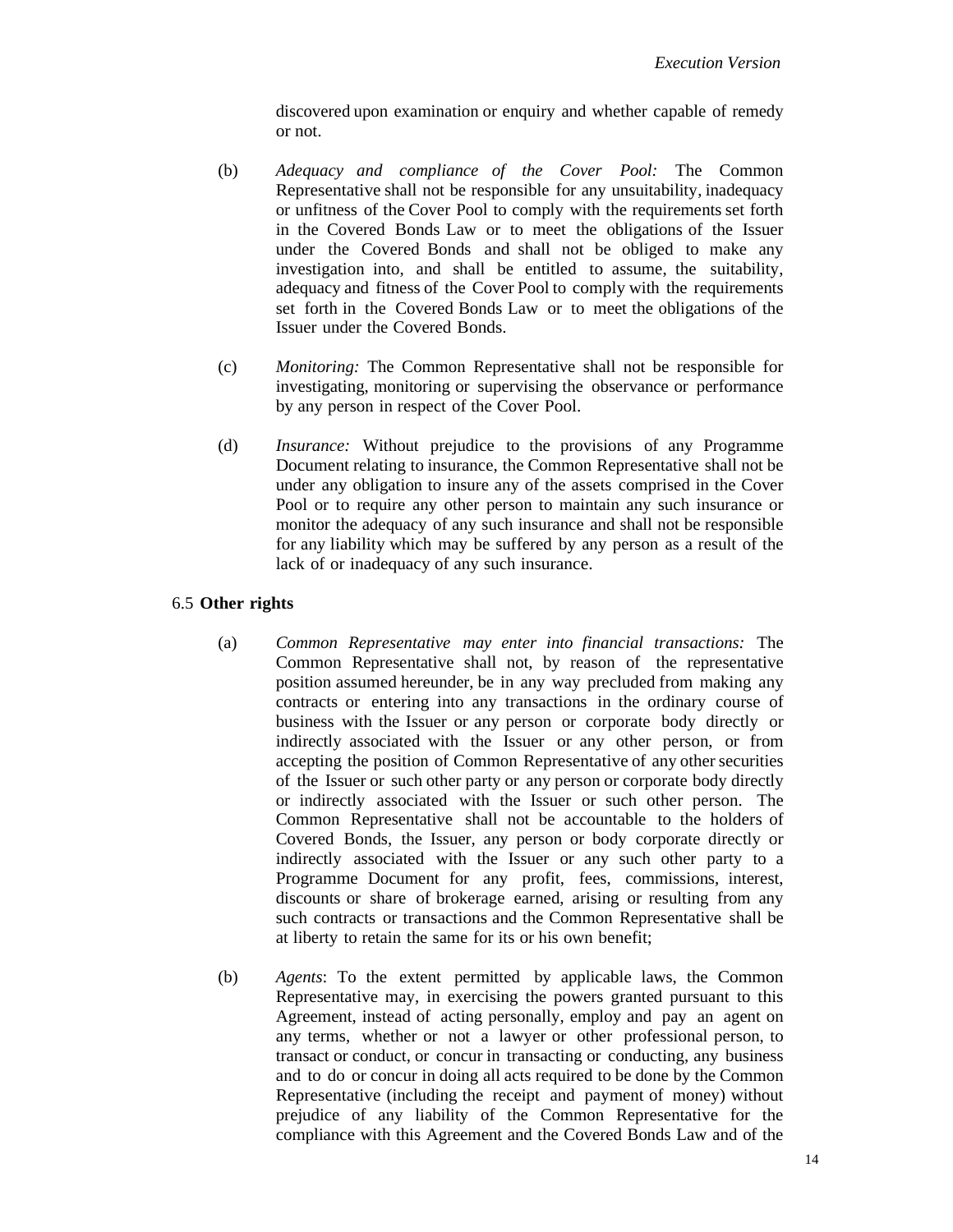discovered upon examination or enquiry and whether capable of remedy or not.

- (b) *Adequacy and compliance of the Cover Pool:* The Common Representative shall not be responsible for any unsuitability, inadequacy or unfitness of the Cover Pool to comply with the requirements set forth in the Covered Bonds Law or to meet the obligations of the Issuer under the Covered Bonds and shall not be obliged to make any investigation into, and shall be entitled to assume, the suitability, adequacy and fitness of the Cover Pool to comply with the requirements set forth in the Covered Bonds Law or to meet the obligations of the Issuer under the Covered Bonds.
- (c) *Monitoring:* The Common Representative shall not be responsible for investigating, monitoring or supervising the observance or performance by any person in respect of the Cover Pool.
- (d) *Insurance:* Without prejudice to the provisions of any Programme Document relating to insurance, the Common Representative shall not be under any obligation to insure any of the assets comprised in the Cover Pool or to require any other person to maintain any such insurance or monitor the adequacy of any such insurance and shall not be responsible for any liability which may be suffered by any person as a result of the lack of or inadequacy of any such insurance.

# 6.5 **Other rights**

- (a) *Common Representative may enter into financial transactions:* The Common Representative shall not, by reason of the representative position assumed hereunder, be in any way precluded from making any contracts or entering into any transactions in the ordinary course of business with the Issuer or any person or corporate body directly or indirectly associated with the Issuer or any other person, or from accepting the position of Common Representative of any other securities of the Issuer or such other party or any person or corporate body directly or indirectly associated with the Issuer or such other person. The Common Representative shall not be accountable to the holders of Covered Bonds, the Issuer, any person or body corporate directly or indirectly associated with the Issuer or any such other party to a Programme Document for any profit, fees, commissions, interest, discounts or share of brokerage earned, arising or resulting from any such contracts or transactions and the Common Representative shall be at liberty to retain the same for its or his own benefit;
- (b) *Agents*: To the extent permitted by applicable laws, the Common Representative may, in exercising the powers granted pursuant to this Agreement, instead of acting personally, employ and pay an agent on any terms, whether or not a lawyer or other professional person, to transact or conduct, or concur in transacting or conducting, any business and to do or concur in doing all acts required to be done by the Common Representative (including the receipt and payment of money) without prejudice of any liability of the Common Representative for the compliance with this Agreement and the Covered Bonds Law and of the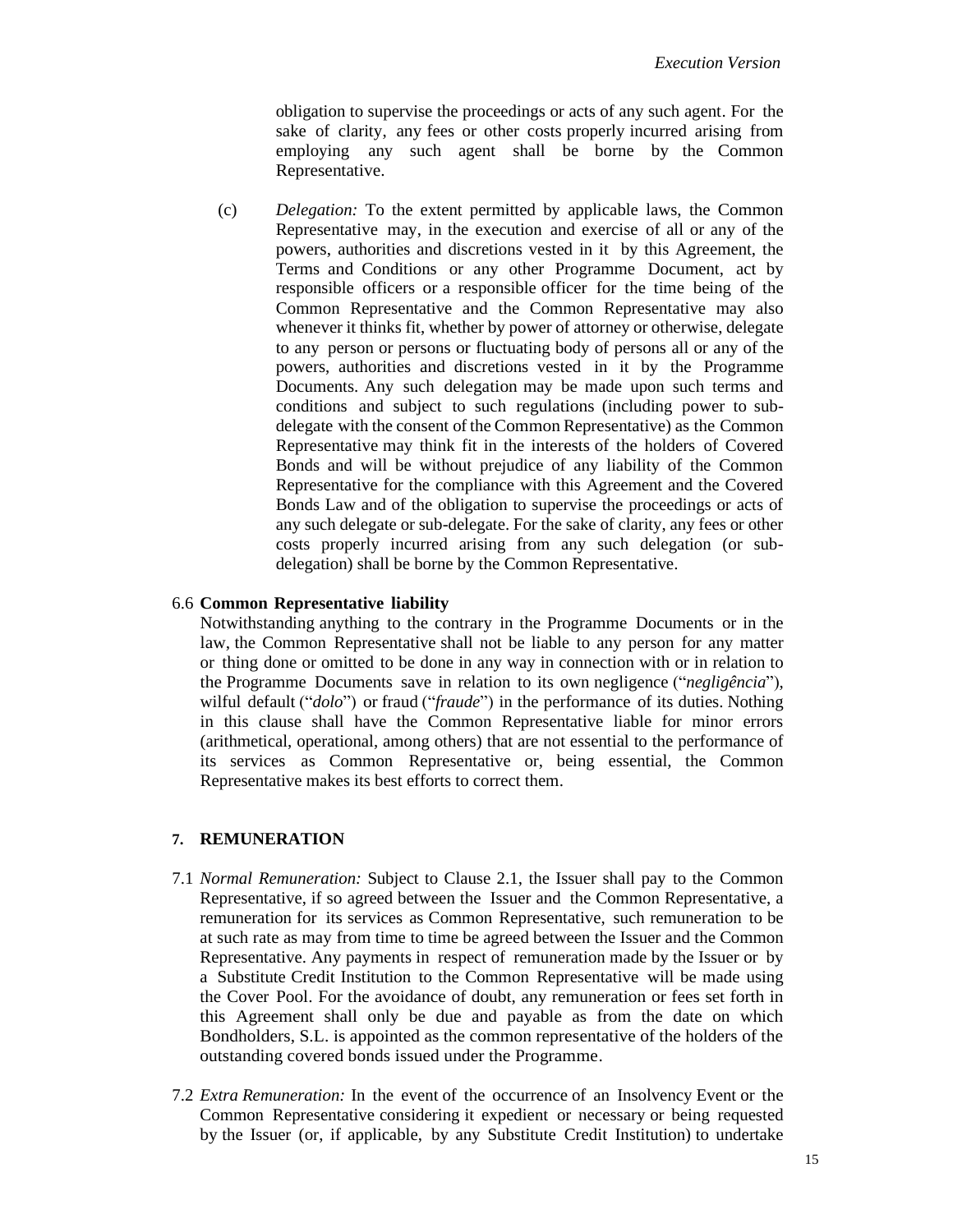obligation to supervise the proceedings or acts of any such agent. For the sake of clarity, any fees or other costs properly incurred arising from employing any such agent shall be borne by the Common Representative.

(c) *Delegation:* To the extent permitted by applicable laws, the Common Representative may, in the execution and exercise of all or any of the powers, authorities and discretions vested in it by this Agreement, the Terms and Conditions or any other Programme Document, act by responsible officers or a responsible officer for the time being of the Common Representative and the Common Representative may also whenever it thinks fit, whether by power of attorney or otherwise, delegate to any person or persons or fluctuating body of persons all or any of the powers, authorities and discretions vested in it by the Programme Documents. Any such delegation may be made upon such terms and conditions and subject to such regulations (including power to subdelegate with the consent of the Common Representative) as the Common Representative may think fit in the interests of the holders of Covered Bonds and will be without prejudice of any liability of the Common Representative for the compliance with this Agreement and the Covered Bonds Law and of the obligation to supervise the proceedings or acts of any such delegate or sub-delegate. For the sake of clarity, any fees or other costs properly incurred arising from any such delegation (or subdelegation) shall be borne by the Common Representative.

#### 6.6 **Common Representative liability**

Notwithstanding anything to the contrary in the Programme Documents or in the law, the Common Representative shall not be liable to any person for any matter or thing done or omitted to be done in any way in connection with or in relation to the Programme Documents save in relation to its own negligence ("*negligência*"), wilful default ("*dolo*") or fraud ("*fraude*") in the performance of its duties. Nothing in this clause shall have the Common Representative liable for minor errors (arithmetical, operational, among others) that are not essential to the performance of its services as Common Representative or, being essential, the Common Representative makes its best efforts to correct them.

# <span id="page-14-2"></span>**7. REMUNERATION**

- <span id="page-14-0"></span>7.1 *Normal Remuneration:* Subject to Clause 2.1, the Issuer shall pay to the Common Representative, if so agreed between the Issuer and the Common Representative, a remuneration for its services as Common Representative, such remuneration to be at such rate as may from time to time be agreed between the Issuer and the Common Representative. Any payments in respect of remuneration made by the Issuer or by a Substitute Credit Institution to the Common Representative will be made using the Cover Pool. For the avoidance of doubt, any remuneration or fees set forth in this Agreement shall only be due and payable as from the date on which Bondholders, S.L. is appointed as the common representative of the holders of the outstanding covered bonds issued under the Programme.
- <span id="page-14-1"></span>7.2 *Extra Remuneration:* In the event of the occurrence of an Insolvency Event or the Common Representative considering it expedient or necessary or being requested by the Issuer (or, if applicable, by any Substitute Credit Institution) to undertake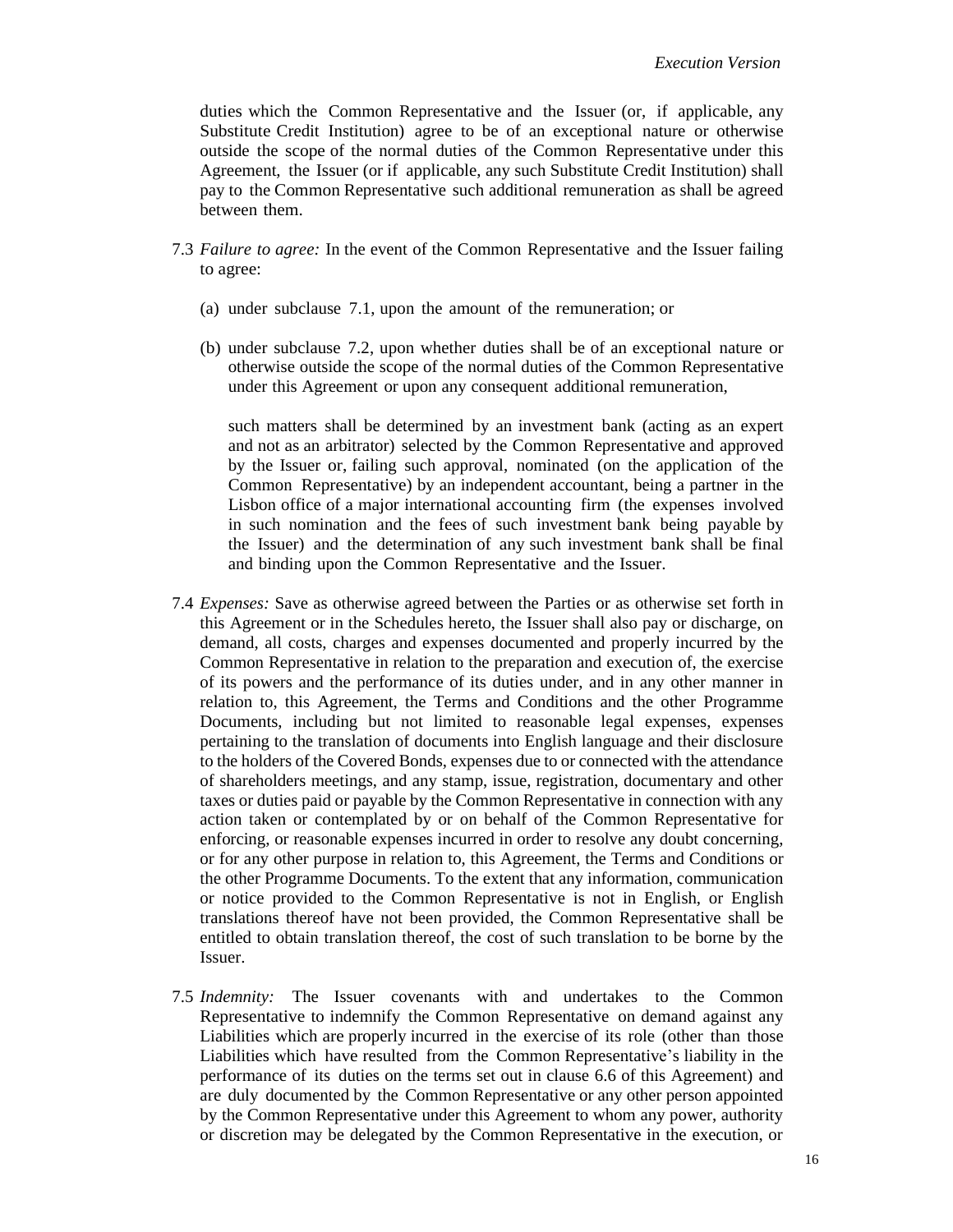duties which the Common Representative and the Issuer (or, if applicable, any Substitute Credit Institution) agree to be of an exceptional nature or otherwise outside the scope of the normal duties of the Common Representative under this Agreement, the Issuer (or if applicable, any such Substitute Credit Institution) shall pay to the Common Representative such additional remuneration as shall be agreed between them.

- 7.3 *Failure to agree:* In the event of the Common Representative and the Issuer failing to agree:
	- (a) under subclause [7.1,](#page-14-0) upon the amount of the remuneration; or
	- (b) under subclause [7.2,](#page-14-1) upon whether duties shall be of an exceptional nature or otherwise outside the scope of the normal duties of the Common Representative under this Agreement or upon any consequent additional remuneration,

such matters shall be determined by an investment bank (acting as an expert and not as an arbitrator) selected by the Common Representative and approved by the Issuer or, failing such approval, nominated (on the application of the Common Representative) by an independent accountant, being a partner in the Lisbon office of a major international accounting firm (the expenses involved in such nomination and the fees of such investment bank being payable by the Issuer) and the determination of any such investment bank shall be final and binding upon the Common Representative and the Issuer.

- <span id="page-15-0"></span>7.4 *Expenses:* Save as otherwise agreed between the Parties or as otherwise set forth in this Agreement or in the Schedules hereto, the Issuer shall also pay or discharge, on demand, all costs, charges and expenses documented and properly incurred by the Common Representative in relation to the preparation and execution of, the exercise of its powers and the performance of its duties under, and in any other manner in relation to, this Agreement, the Terms and Conditions and the other Programme Documents, including but not limited to reasonable legal expenses, expenses pertaining to the translation of documents into English language and their disclosure to the holders of the Covered Bonds, expenses due to or connected with the attendance of shareholders meetings, and any stamp, issue, registration, documentary and other taxes or duties paid or payable by the Common Representative in connection with any action taken or contemplated by or on behalf of the Common Representative for enforcing, or reasonable expenses incurred in order to resolve any doubt concerning, or for any other purpose in relation to, this Agreement, the Terms and Conditions or the other Programme Documents. To the extent that any information, communication or notice provided to the Common Representative is not in English, or English translations thereof have not been provided, the Common Representative shall be entitled to obtain translation thereof, the cost of such translation to be borne by the Issuer.
- 7.5 *Indemnity:* The Issuer covenants with and undertakes to the Common Representative to indemnify the Common Representative on demand against any Liabilities which are properly incurred in the exercise of its role (other than those Liabilities which have resulted from the Common Representative's liability in the performance of its duties on the terms set out in clause 6.6 of this Agreement) and are duly documented by the Common Representative or any other person appointed by the Common Representative under this Agreement to whom any power, authority or discretion may be delegated by the Common Representative in the execution, or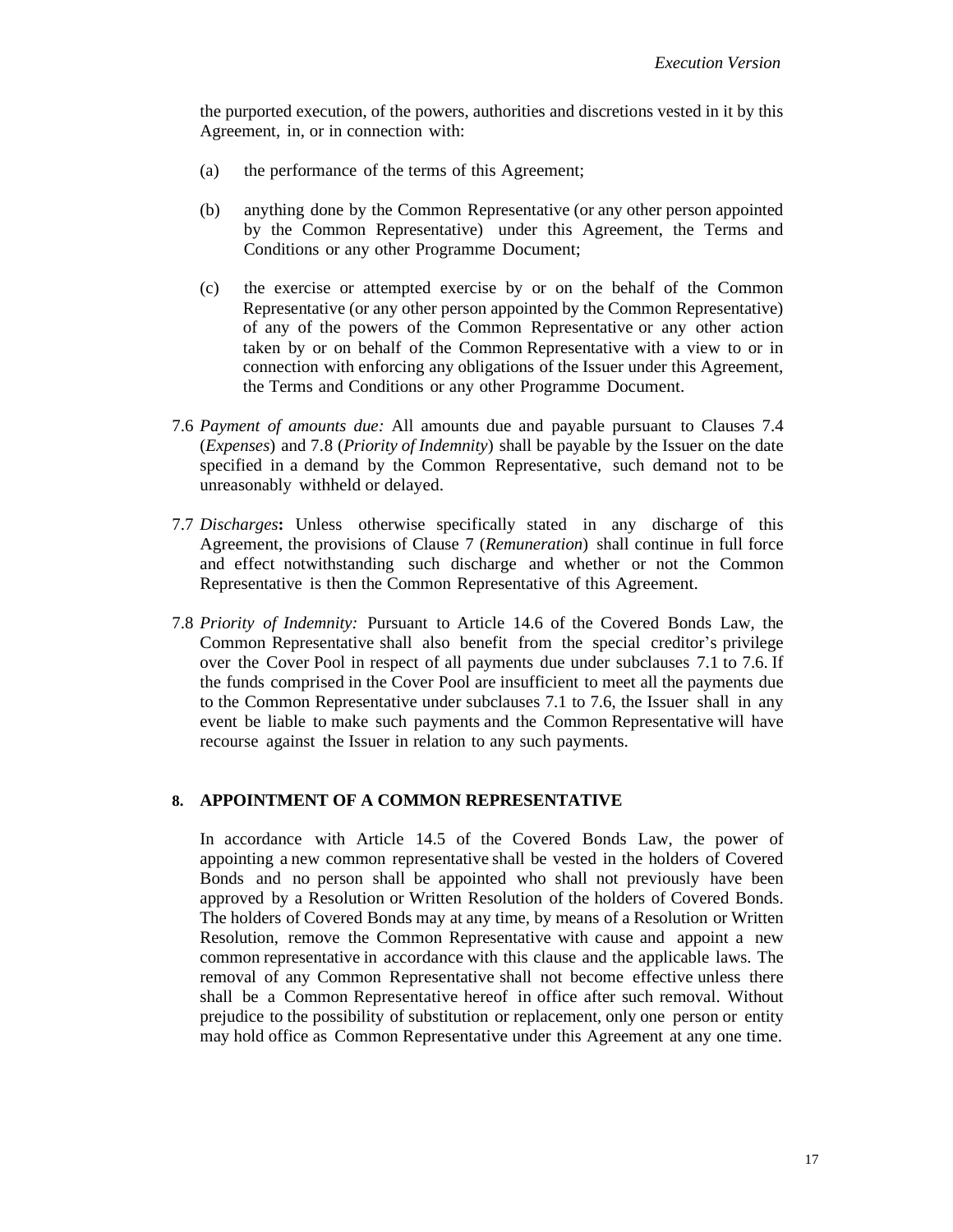the purported execution, of the powers, authorities and discretions vested in it by this Agreement, in, or in connection with:

- (a) the performance of the terms of this Agreement;
- (b) anything done by the Common Representative (or any other person appointed by the Common Representative) under this Agreement, the Terms and Conditions or any other Programme Document;
- (c) the exercise or attempted exercise by or on the behalf of the Common Representative (or any other person appointed by the Common Representative) of any of the powers of the Common Representative or any other action taken by or on behalf of the Common Representative with a view to or in connection with enforcing any obligations of the Issuer under this Agreement, the Terms and Conditions or any other Programme Document.
- <span id="page-16-1"></span>7.6 *Payment of amounts due:* All amounts due and payable pursuant to Clauses [7.4](#page-15-0) (*Expenses*) and [7.8](#page-16-0) (*Priority of Indemnity*) shall be payable by the Issuer on the date specified in a demand by the Common Representative, such demand not to be unreasonably withheld or delayed.
- 7.7 *Discharges***:** Unless otherwise specifically stated in any discharge of this Agreement, the provisions of Clause [7](#page-14-2) (*Remuneration*) shall continue in full force and effect notwithstanding such discharge and whether or not the Common Representative is then the Common Representative of this Agreement.
- <span id="page-16-0"></span>7.8 *Priority of Indemnity:* Pursuant to Article 14.6 of the Covered Bonds Law, the Common Representative shall also benefit from the special creditor's privilege over the Cover Pool in respect of all payments due under subclauses [7.1](#page-14-0) to [7.6.](#page-16-1) If the funds comprised in the Cover Pool are insufficient to meet all the payments due to the Common Representative under subclauses [7.1](#page-14-0) to [7.6,](#page-16-1) the Issuer shall in any event be liable to make such payments and the Common Representative will have recourse against the Issuer in relation to any such payments.

# <span id="page-16-2"></span>**8. APPOINTMENT OF A COMMON REPRESENTATIVE**

In accordance with Article 14.5 of the Covered Bonds Law, the power of appointing a new common representative shall be vested in the holders of Covered Bonds and no person shall be appointed who shall not previously have been approved by a Resolution or Written Resolution of the holders of Covered Bonds. The holders of Covered Bonds may at any time, by means of a Resolution or Written Resolution, remove the Common Representative with cause and appoint a new common representative in accordance with this clause and the applicable laws. The removal of any Common Representative shall not become effective unless there shall be a Common Representative hereof in office after such removal. Without prejudice to the possibility of substitution or replacement, only one person or entity may hold office as Common Representative under this Agreement at any one time.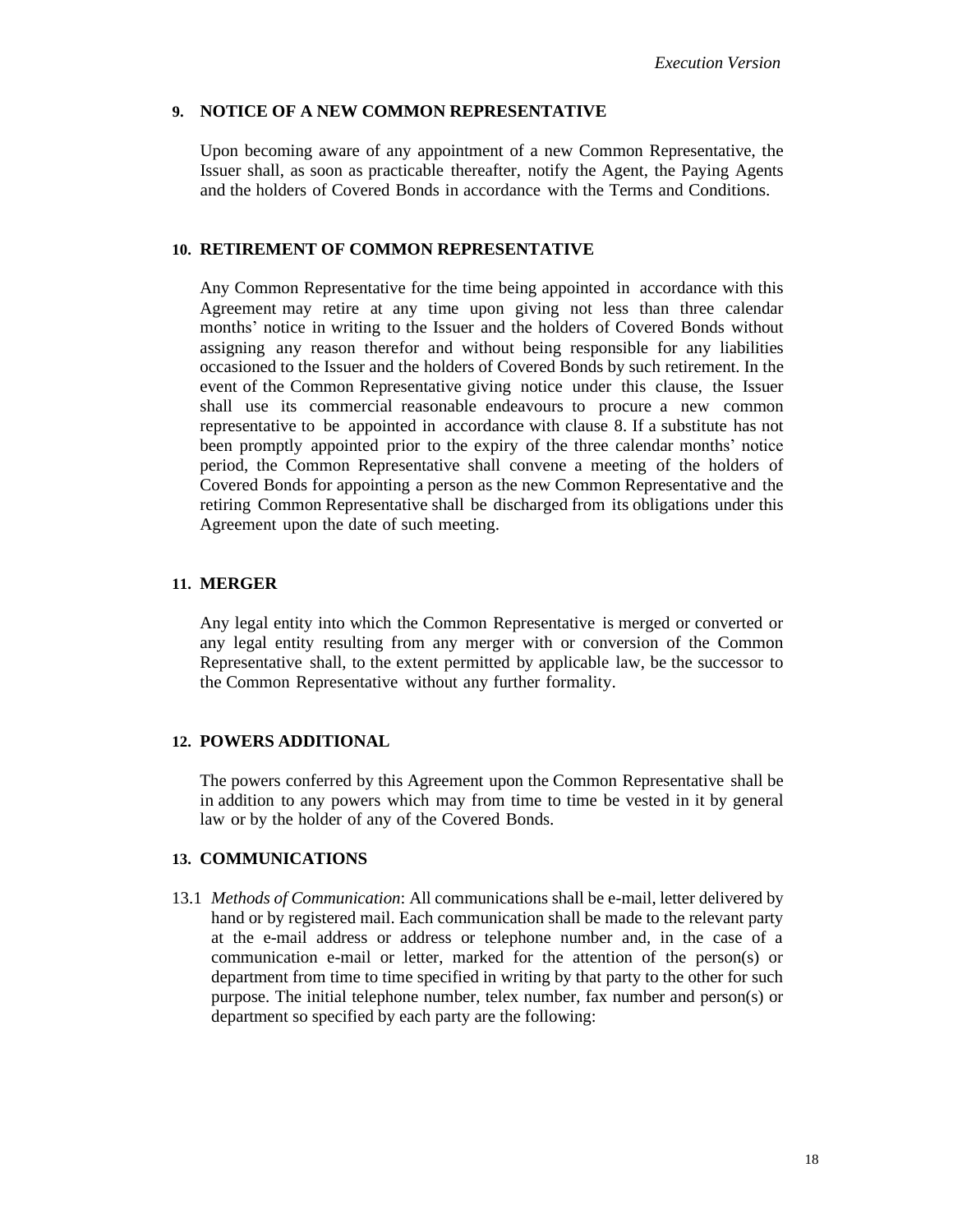## **9. NOTICE OF A NEW COMMON REPRESENTATIVE**

Upon becoming aware of any appointment of a new Common Representative, the Issuer shall, as soon as practicable thereafter, notify the Agent, the Paying Agents and the holders of Covered Bonds in accordance with the Terms and Conditions.

### **10. RETIREMENT OF COMMON REPRESENTATIVE**

Any Common Representative for the time being appointed in accordance with this Agreement may retire at any time upon giving not less than three calendar months' notice in writing to the Issuer and the holders of Covered Bonds without assigning any reason therefor and without being responsible for any liabilities occasioned to the Issuer and the holders of Covered Bonds by such retirement. In the event of the Common Representative giving notice under this clause, the Issuer shall use its commercial reasonable endeavours to procure a new common representative to be appointed in accordance with clause [8.](#page-16-2) If a substitute has not been promptly appointed prior to the expiry of the three calendar months' notice period, the Common Representative shall convene a meeting of the holders of Covered Bonds for appointing a person as the new Common Representative and the retiring Common Representative shall be discharged from its obligations under this Agreement upon the date of such meeting.

#### **11. MERGER**

Any legal entity into which the Common Representative is merged or converted or any legal entity resulting from any merger with or conversion of the Common Representative shall, to the extent permitted by applicable law, be the successor to the Common Representative without any further formality.

# **12. POWERS ADDITIONAL**

The powers conferred by this Agreement upon the Common Representative shall be in addition to any powers which may from time to time be vested in it by general law or by the holder of any of the Covered Bonds.

# **13. COMMUNICATIONS**

13.1 *Methods of Communication*: All communications shall be e-mail, letter delivered by hand or by registered mail. Each communication shall be made to the relevant party at the e-mail address or address or telephone number and, in the case of a communication e-mail or letter, marked for the attention of the person(s) or department from time to time specified in writing by that party to the other for such purpose. The initial telephone number, telex number, fax number and person(s) or department so specified by each party are the following: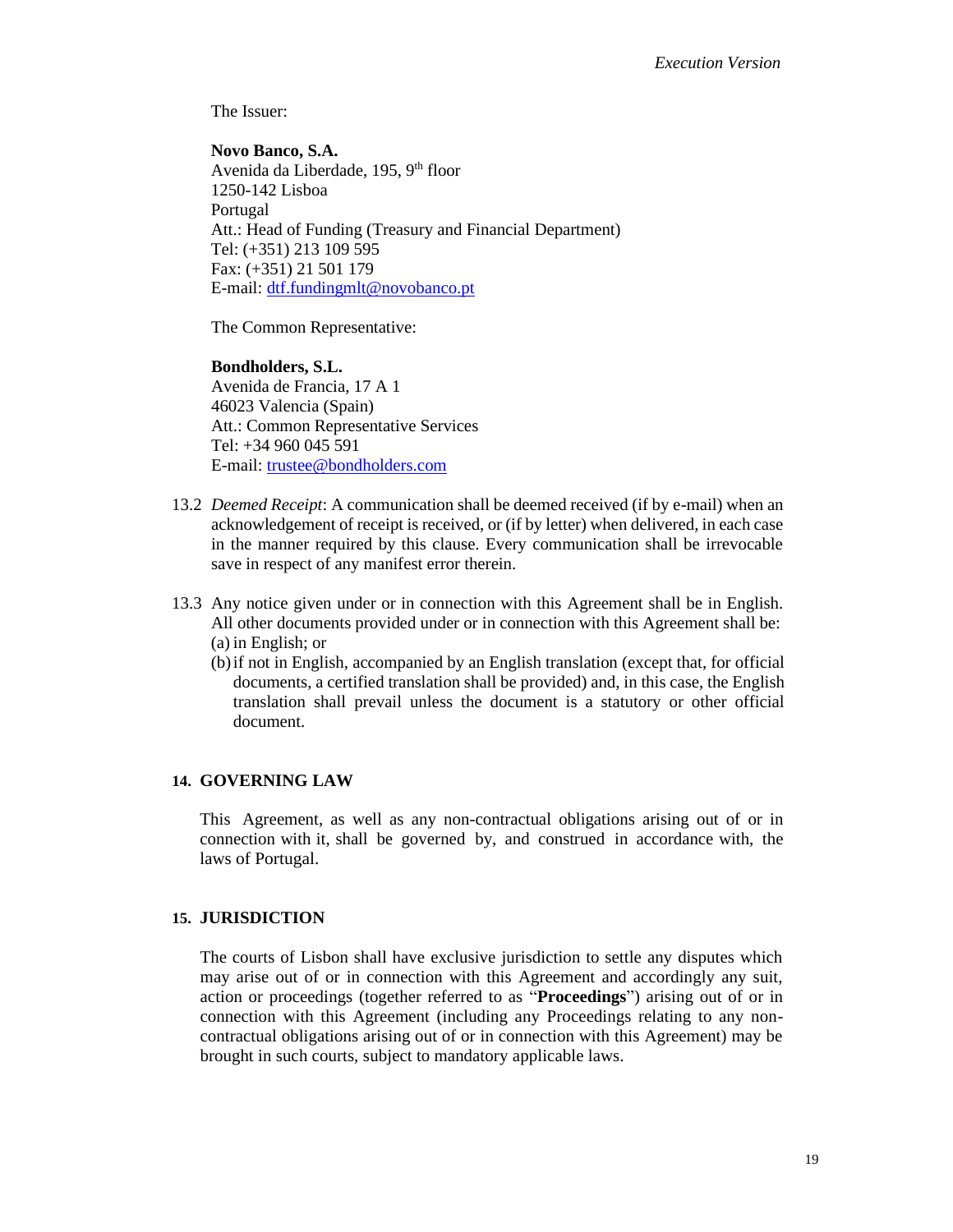The Issuer:

**Novo Banco, S.A.** Avenida da Liberdade, 195, 9<sup>th</sup> floor 1250-142 Lisboa Portugal Att.: Head of Funding (Treasury and Financial Department) Tel: (+351) 213 109 595 Fax: (+351) 21 501 179 E-mail: [dtf.fundingmlt@novobanco.pt](mailto:dtf.fundingmlt@novobanco.pt)

The Common Representative:

#### **Bondholders, S.L.**

Avenida de Francia, 17 A 1 46023 Valencia (Spain) Att.: Common Representative Services Tel: +34 960 045 591 E-mail: [trustee@bondholders.com](mailto:trustee@bondholders.com)

- 13.2 *Deemed Receipt*: A communication shall be deemed received (if by e-mail) when an acknowledgement of receipt is received, or (if by letter) when delivered, in each case in the manner required by this clause. Every communication shall be irrevocable save in respect of any manifest error therein.
- 13.3 Any notice given under or in connection with this Agreement shall be in English. All other documents provided under or in connection with this Agreement shall be: (a) in English; or
	- (b)if not in English, accompanied by an English translation (except that, for official documents, a certified translation shall be provided) and, in this case, the English translation shall prevail unless the document is a statutory or other official document.

# **14. GOVERNING LAW**

This Agreement, as well as any non-contractual obligations arising out of or in connection with it, shall be governed by, and construed in accordance with, the laws of Portugal.

# **15. JURISDICTION**

The courts of Lisbon shall have exclusive jurisdiction to settle any disputes which may arise out of or in connection with this Agreement and accordingly any suit, action or proceedings (together referred to as "**Proceedings**") arising out of or in connection with this Agreement (including any Proceedings relating to any noncontractual obligations arising out of or in connection with this Agreement) may be brought in such courts, subject to mandatory applicable laws.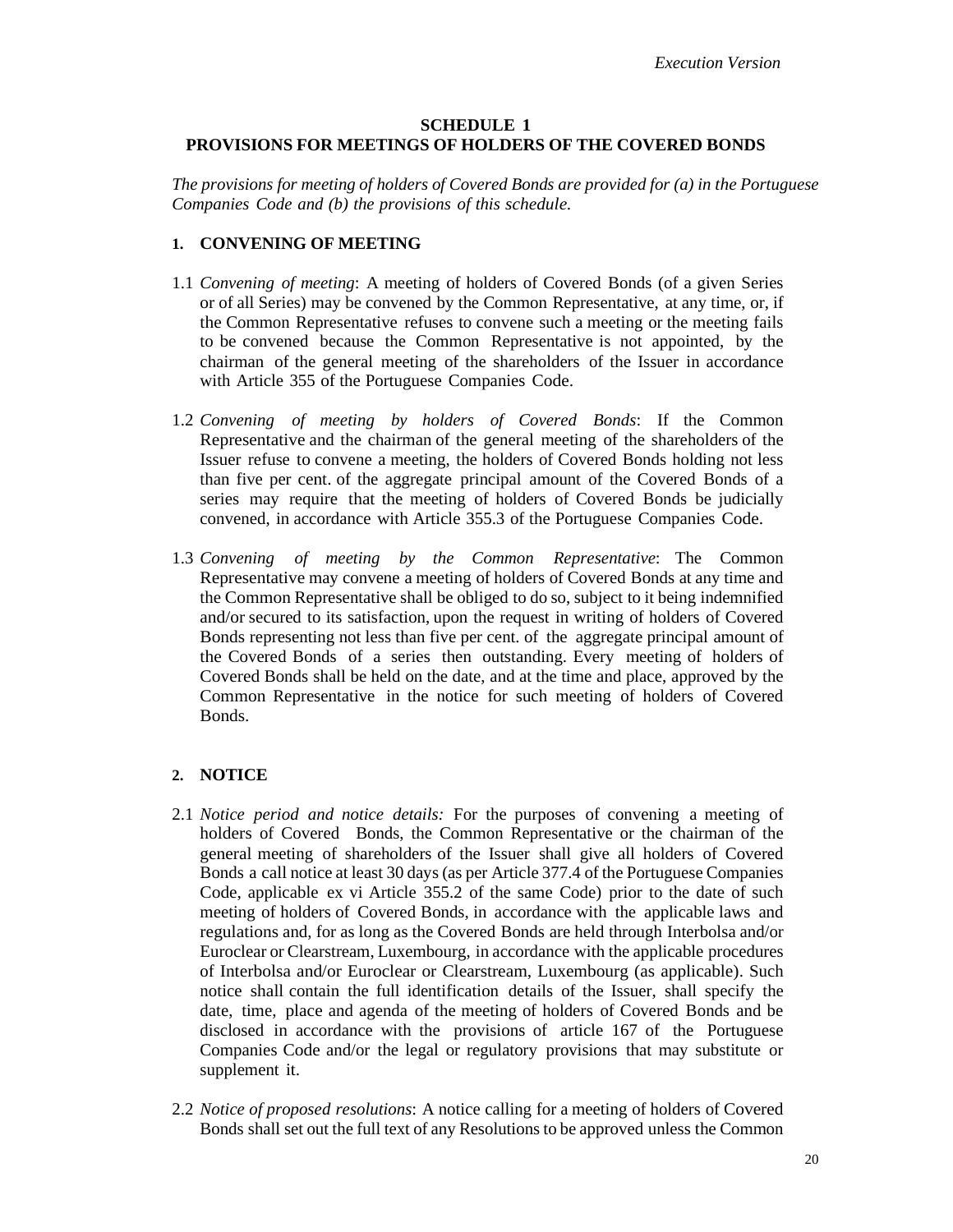# **SCHEDULE 1 PROVISIONS FOR MEETINGS OF HOLDERS OF THE COVERED BONDS**

*The provisions for meeting of holders of Covered Bonds are provided for (a) in the Portuguese Companies Code and (b) the provisions of this schedule.*

#### **1. CONVENING OF MEETING**

- 1.1 *Convening of meeting*: A meeting of holders of Covered Bonds (of a given Series or of all Series) may be convened by the Common Representative, at any time, or, if the Common Representative refuses to convene such a meeting or the meeting fails to be convened because the Common Representative is not appointed, by the chairman of the general meeting of the shareholders of the Issuer in accordance with Article 355 of the Portuguese Companies Code.
- 1.2 *Convening of meeting by holders of Covered Bonds*: If the Common Representative and the chairman of the general meeting of the shareholders of the Issuer refuse to convene a meeting, the holders of Covered Bonds holding not less than five per cent. of the aggregate principal amount of the Covered Bonds of a series may require that the meeting of holders of Covered Bonds be judicially convened, in accordance with Article 355.3 of the Portuguese Companies Code.
- 1.3 *Convening of meeting by the Common Representative*: The Common Representative may convene a meeting of holders of Covered Bonds at any time and the Common Representative shall be obliged to do so, subject to it being indemnified and/or secured to its satisfaction, upon the request in writing of holders of Covered Bonds representing not less than five per cent. of the aggregate principal amount of the Covered Bonds of a series then outstanding. Every meeting of holders of Covered Bonds shall be held on the date, and at the time and place, approved by the Common Representative in the notice for such meeting of holders of Covered Bonds.

# **2. NOTICE**

- 2.1 *Notice period and notice details:* For the purposes of convening a meeting of holders of Covered Bonds, the Common Representative or the chairman of the general meeting of shareholders of the Issuer shall give all holders of Covered Bonds a call notice at least 30 days (as per Article 377.4 of the Portuguese Companies Code, applicable ex vi Article 355.2 of the same Code) prior to the date of such meeting of holders of Covered Bonds, in accordance with the applicable laws and regulations and, for as long as the Covered Bonds are held through Interbolsa and/or Euroclear or Clearstream, Luxembourg, in accordance with the applicable procedures of Interbolsa and/or Euroclear or Clearstream, Luxembourg (as applicable). Such notice shall contain the full identification details of the Issuer, shall specify the date, time, place and agenda of the meeting of holders of Covered Bonds and be disclosed in accordance with the provisions of article 167 of the Portuguese Companies Code and/or the legal or regulatory provisions that may substitute or supplement it.
- 2.2 *Notice of proposed resolutions*: A notice calling for a meeting of holders of Covered Bonds shall set out the full text of any Resolutions to be approved unless the Common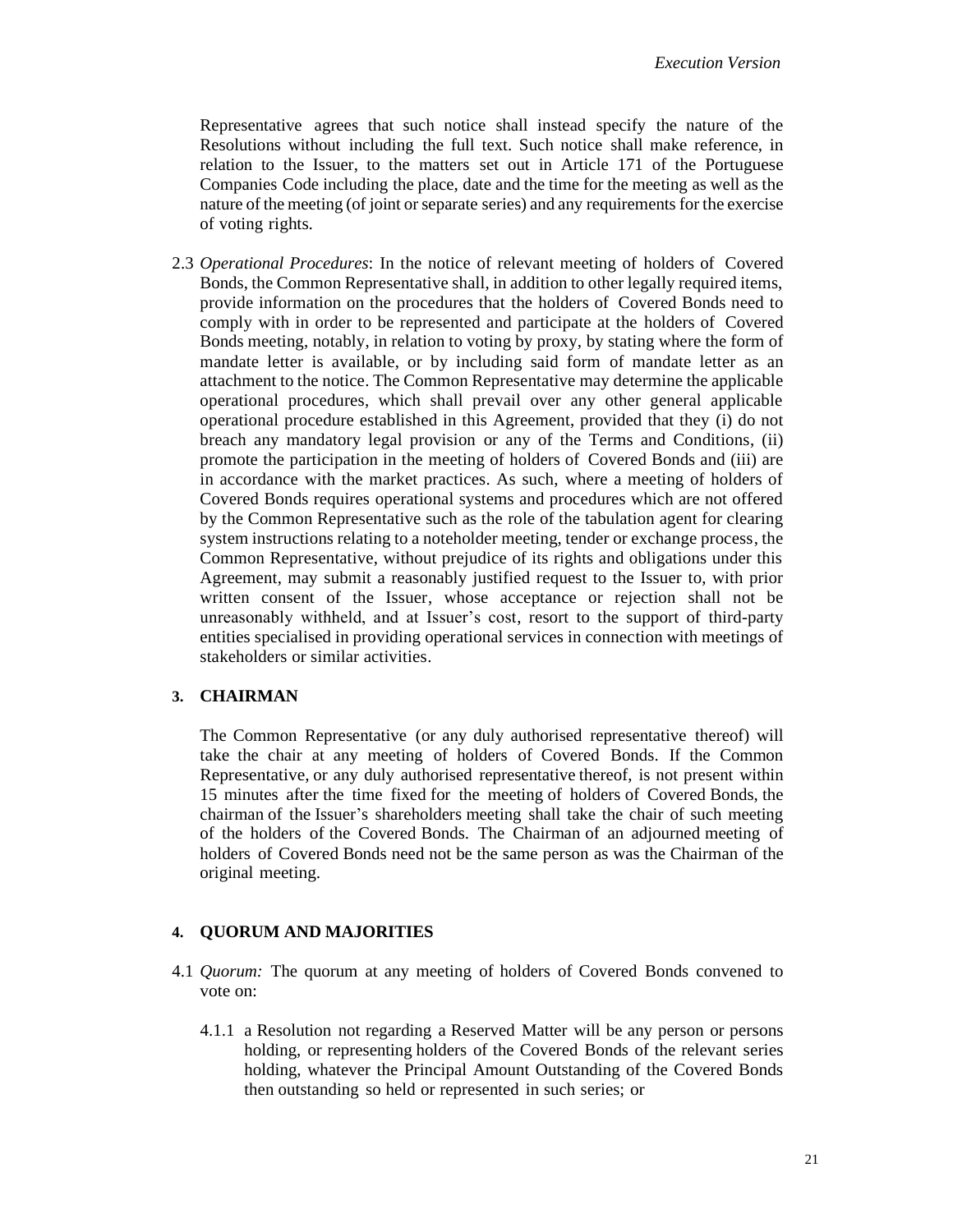Representative agrees that such notice shall instead specify the nature of the Resolutions without including the full text. Such notice shall make reference, in relation to the Issuer, to the matters set out in Article 171 of the Portuguese Companies Code including the place, date and the time for the meeting as well as the nature of the meeting (of joint orseparate series) and any requirements for the exercise of voting rights.

2.3 *Operational Procedures*: In the notice of relevant meeting of holders of Covered Bonds, the Common Representative shall, in addition to other legally required items, provide information on the procedures that the holders of Covered Bonds need to comply with in order to be represented and participate at the holders of Covered Bonds meeting, notably, in relation to voting by proxy, by stating where the form of mandate letter is available, or by including said form of mandate letter as an attachment to the notice. The Common Representative may determine the applicable operational procedures, which shall prevail over any other general applicable operational procedure established in this Agreement, provided that they (i) do not breach any mandatory legal provision or any of the Terms and Conditions, (ii) promote the participation in the meeting of holders of Covered Bonds and (iii) are in accordance with the market practices. As such, where a meeting of holders of Covered Bonds requires operational systems and procedures which are not offered by the Common Representative such as the role of the tabulation agent for clearing system instructions relating to a noteholder meeting, tender or exchange process, the Common Representative, without prejudice of its rights and obligations under this Agreement, may submit a reasonably justified request to the Issuer to, with prior written consent of the Issuer, whose acceptance or rejection shall not be unreasonably withheld, and at Issuer's cost, resort to the support of third-party entities specialised in providing operational services in connection with meetings of stakeholders or similar activities.

# **3. CHAIRMAN**

The Common Representative (or any duly authorised representative thereof) will take the chair at any meeting of holders of Covered Bonds. If the Common Representative, or any duly authorised representative thereof, is not present within 15 minutes after the time fixed for the meeting of holders of Covered Bonds, the chairman of the Issuer's shareholders meeting shall take the chair of such meeting of the holders of the Covered Bonds. The Chairman of an adjourned meeting of holders of Covered Bonds need not be the same person as was the Chairman of the original meeting.

#### **4. QUORUM AND MAJORITIES**

- 4.1 *Quorum:* The quorum at any meeting of holders of Covered Bonds convened to vote on:
	- 4.1.1 a Resolution not regarding a Reserved Matter will be any person or persons holding, or representing holders of the Covered Bonds of the relevant series holding, whatever the Principal Amount Outstanding of the Covered Bonds then outstanding so held or represented in such series; or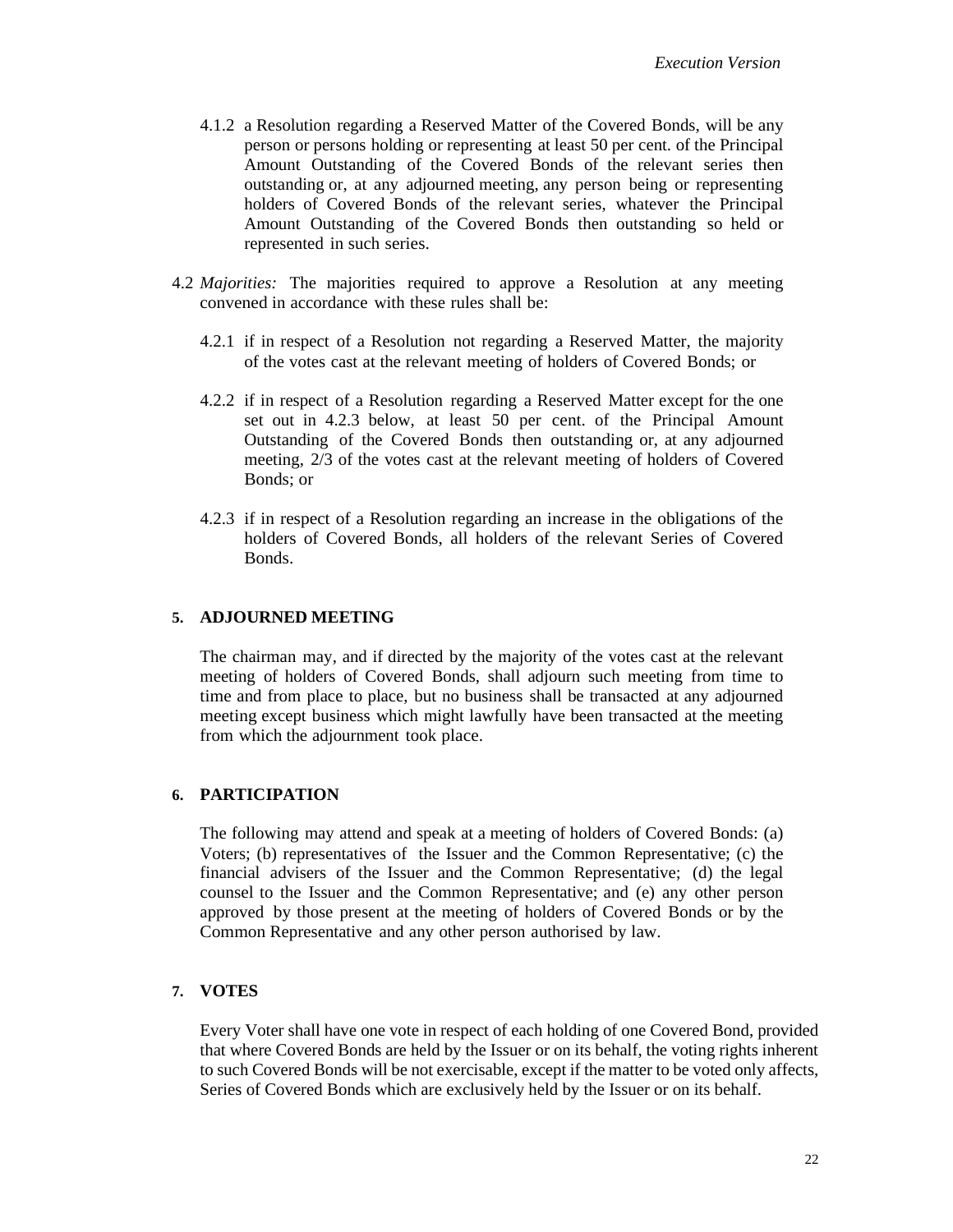- 4.1.2 a Resolution regarding a Reserved Matter of the Covered Bonds, will be any person or persons holding or representing at least 50 per cent. of the Principal Amount Outstanding of the Covered Bonds of the relevant series then outstanding or, at any adjourned meeting, any person being or representing holders of Covered Bonds of the relevant series, whatever the Principal Amount Outstanding of the Covered Bonds then outstanding so held or represented in such series.
- <span id="page-21-1"></span>4.2 *Majorities:* The majorities required to approve a Resolution at any meeting convened in accordance with these rules shall be:
	- 4.2.1 if in respect of a Resolution not regarding a Reserved Matter, the majority of the votes cast at the relevant meeting of holders of Covered Bonds; or
	- 4.2.2 if in respect of a Resolution regarding a Reserved Matter except for the one set out in [4.2.3](#page-21-0) below, at least 50 per cent. of the Principal Amount Outstanding of the Covered Bonds then outstanding or, at any adjourned meeting, 2/3 of the votes cast at the relevant meeting of holders of Covered Bonds; or
	- 4.2.3 if in respect of a Resolution regarding an increase in the obligations of the holders of Covered Bonds, all holders of the relevant Series of Covered Bonds.

# <span id="page-21-0"></span>**5. ADJOURNED MEETING**

The chairman may, and if directed by the majority of the votes cast at the relevant meeting of holders of Covered Bonds, shall adjourn such meeting from time to time and from place to place, but no business shall be transacted at any adjourned meeting except business which might lawfully have been transacted at the meeting from which the adjournment took place.

## **6. PARTICIPATION**

The following may attend and speak at a meeting of holders of Covered Bonds: (a) Voters; (b) representatives of the Issuer and the Common Representative; (c) the financial advisers of the Issuer and the Common Representative; (d) the legal counsel to the Issuer and the Common Representative; and (e) any other person approved by those present at the meeting of holders of Covered Bonds or by the Common Representative and any other person authorised by law.

# **7. VOTES**

Every Voter shall have one vote in respect of each holding of one Covered Bond, provided that where Covered Bonds are held by the Issuer or on its behalf, the voting rights inherent to such Covered Bonds will be not exercisable, except if the matter to be voted only affects, Series of Covered Bonds which are exclusively held by the Issuer or on its behalf.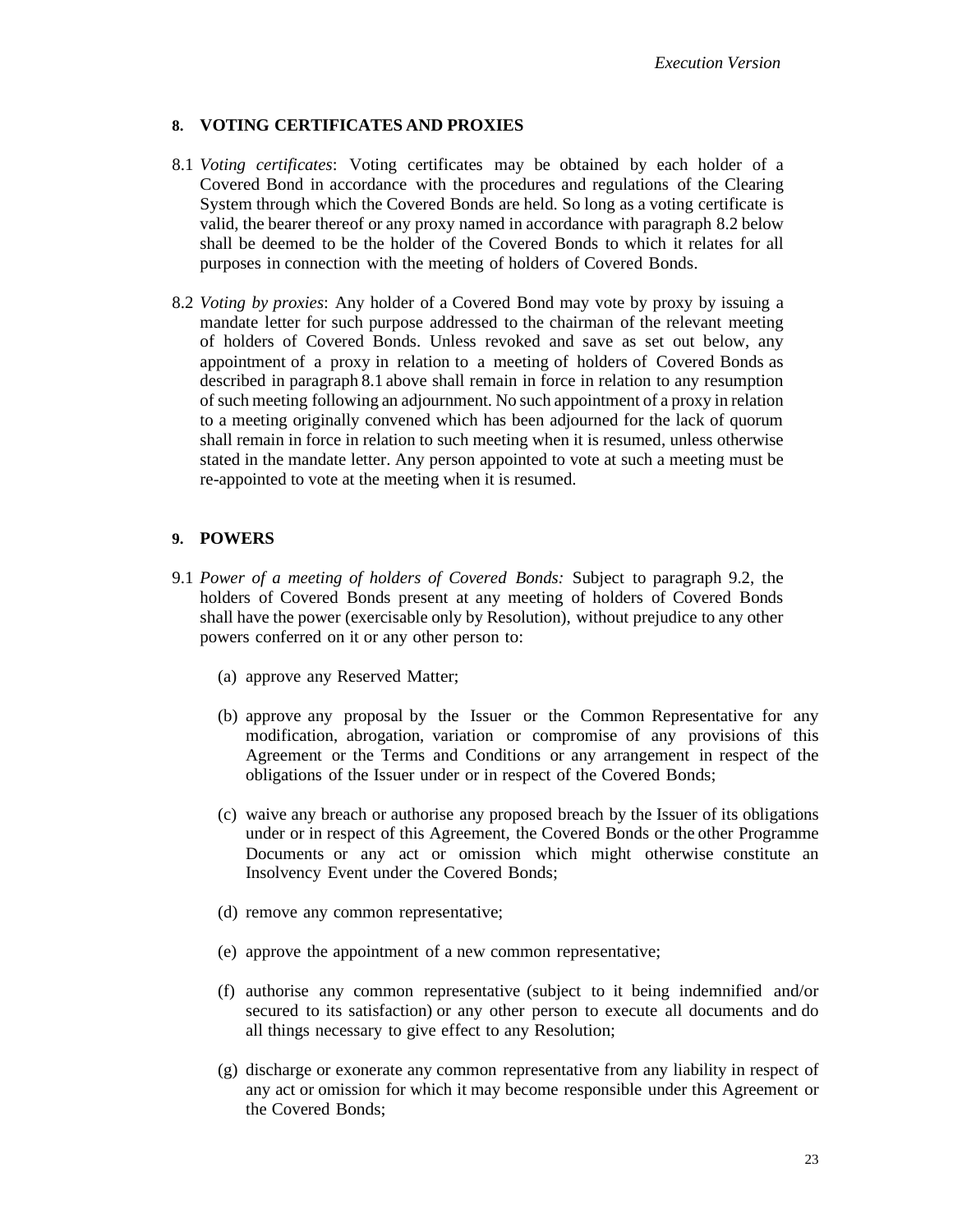# **8. VOTING CERTIFICATES AND PROXIES**

- <span id="page-22-0"></span>8.1 *Voting certificates*: Voting certificates may be obtained by each holder of a Covered Bond in accordance with the procedures and regulations of the Clearing System through which the Covered Bonds are held. So long as a voting certificate is valid, the bearer thereof or any proxy named in accordance with paragraph 8.2 below shall be deemed to be the holder of the Covered Bonds to which it relates for all purposes in connection with the meeting of holders of Covered Bonds.
- 8.2 *Voting by proxies*: Any holder of a Covered Bond may vote by proxy by issuing a mandate letter for such purpose addressed to the chairman of the relevant meeting of holders of Covered Bonds. Unless revoked and save as set out below, any appointment of a proxy in relation to a meeting of holders of Covered Bonds as described in paragrap[h 8.1](#page-22-0) above shall remain in force in relation to any resumption of such meeting following an adjournment. No such appointment of a proxy in relation to a meeting originally convened which has been adjourned for the lack of quorum shall remain in force in relation to such meeting when it is resumed, unless otherwise stated in the mandate letter. Any person appointed to vote at such a meeting must be re-appointed to vote at the meeting when it is resumed.

# **9. POWERS**

- 9.1 *Power of a meeting of holders of Covered Bonds:* Subject to paragraph [9.2,](#page-23-0) the holders of Covered Bonds present at any meeting of holders of Covered Bonds shall have the power (exercisable only by Resolution), without prejudice to any other powers conferred on it or any other person to:
	- (a) approve any Reserved Matter;
	- (b) approve any proposal by the Issuer or the Common Representative for any modification, abrogation, variation or compromise of any provisions of this Agreement or the Terms and Conditions or any arrangement in respect of the obligations of the Issuer under or in respect of the Covered Bonds;
	- (c) waive any breach or authorise any proposed breach by the Issuer of its obligations under or in respect of this Agreement, the Covered Bonds or the other Programme Documents or any act or omission which might otherwise constitute an Insolvency Event under the Covered Bonds;
	- (d) remove any common representative;
	- (e) approve the appointment of a new common representative;
	- (f) authorise any common representative (subject to it being indemnified and/or secured to its satisfaction) or any other person to execute all documents and do all things necessary to give effect to any Resolution;
	- (g) discharge or exonerate any common representative from any liability in respect of any act or omission for which it may become responsible under this Agreement or the Covered Bonds;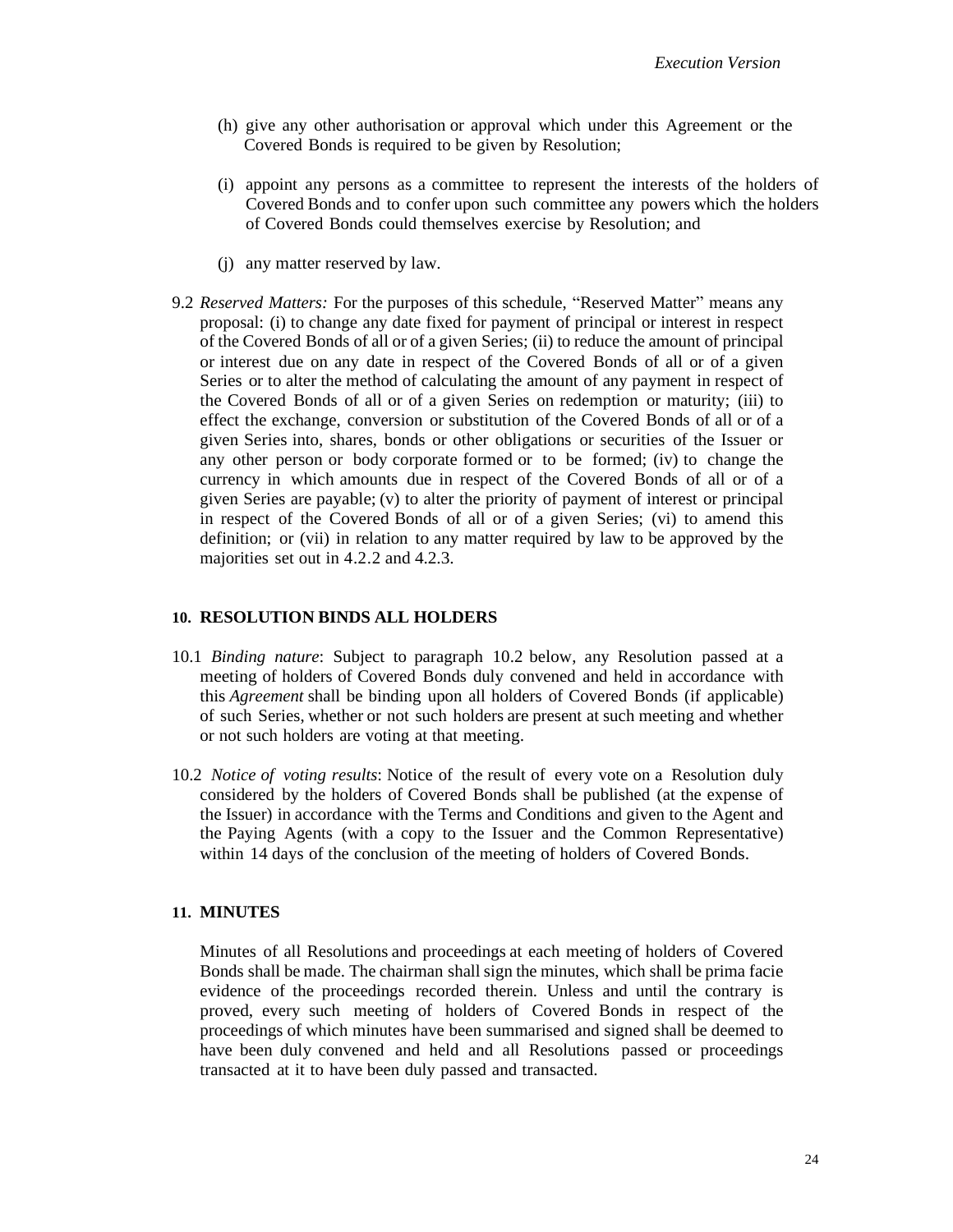- (h) give any other authorisation or approval which under this Agreement or the Covered Bonds is required to be given by Resolution;
- (i) appoint any persons as a committee to represent the interests of the holders of Covered Bonds and to confer upon such committee any powers which the holders of Covered Bonds could themselves exercise by Resolution; and
- (j) any matter reserved by law.
- <span id="page-23-0"></span>9.2 *Reserved Matters:* For the purposes of this schedule, "Reserved Matter" means any proposal: (i) to change any date fixed for payment of principal or interest in respect of the Covered Bonds of all or of a given Series; (ii) to reduce the amount of principal or interest due on any date in respect of the Covered Bonds of all or of a given Series or to alter the method of calculating the amount of any payment in respect of the Covered Bonds of all or of a given Series on redemption or maturity; (iii) to effect the exchange, conversion or substitution of the Covered Bonds of all or of a given Series into, shares, bonds or other obligations or securities of the Issuer or any other person or body corporate formed or to be formed; (iv) to change the currency in which amounts due in respect of the Covered Bonds of all or of a given Series are payable; (v) to alter the priority of payment of interest or principal in respect of the Covered Bonds of all or of a given Series; (vi) to amend this definition; or (vii) in relation to any matter required by law to be approved by the majorities set out in [4.2.2](#page-21-1) and [4.2.3.](#page-21-0)

#### **10. RESOLUTION BINDS ALL HOLDERS**

- 10.1 *Binding nature*: Subject to paragraph [10.2](#page-23-1) below, any Resolution passed at a meeting of holders of Covered Bonds duly convened and held in accordance with this *Agreement* shall be binding upon all holders of Covered Bonds (if applicable) of such Series, whether or not such holders are present at such meeting and whether or not such holders are voting at that meeting.
- <span id="page-23-1"></span>10.2 *Notice of voting results*: Notice of the result of every vote on a Resolution duly considered by the holders of Covered Bonds shall be published (at the expense of the Issuer) in accordance with the Terms and Conditions and given to the Agent and the Paying Agents (with a copy to the Issuer and the Common Representative) within 14 days of the conclusion of the meeting of holders of Covered Bonds.

#### **11. MINUTES**

Minutes of all Resolutions and proceedings at each meeting of holders of Covered Bonds shall be made. The chairman shall sign the minutes, which shall be prima facie evidence of the proceedings recorded therein. Unless and until the contrary is proved, every such meeting of holders of Covered Bonds in respect of the proceedings of which minutes have been summarised and signed shall be deemed to have been duly convened and held and all Resolutions passed or proceedings transacted at it to have been duly passed and transacted.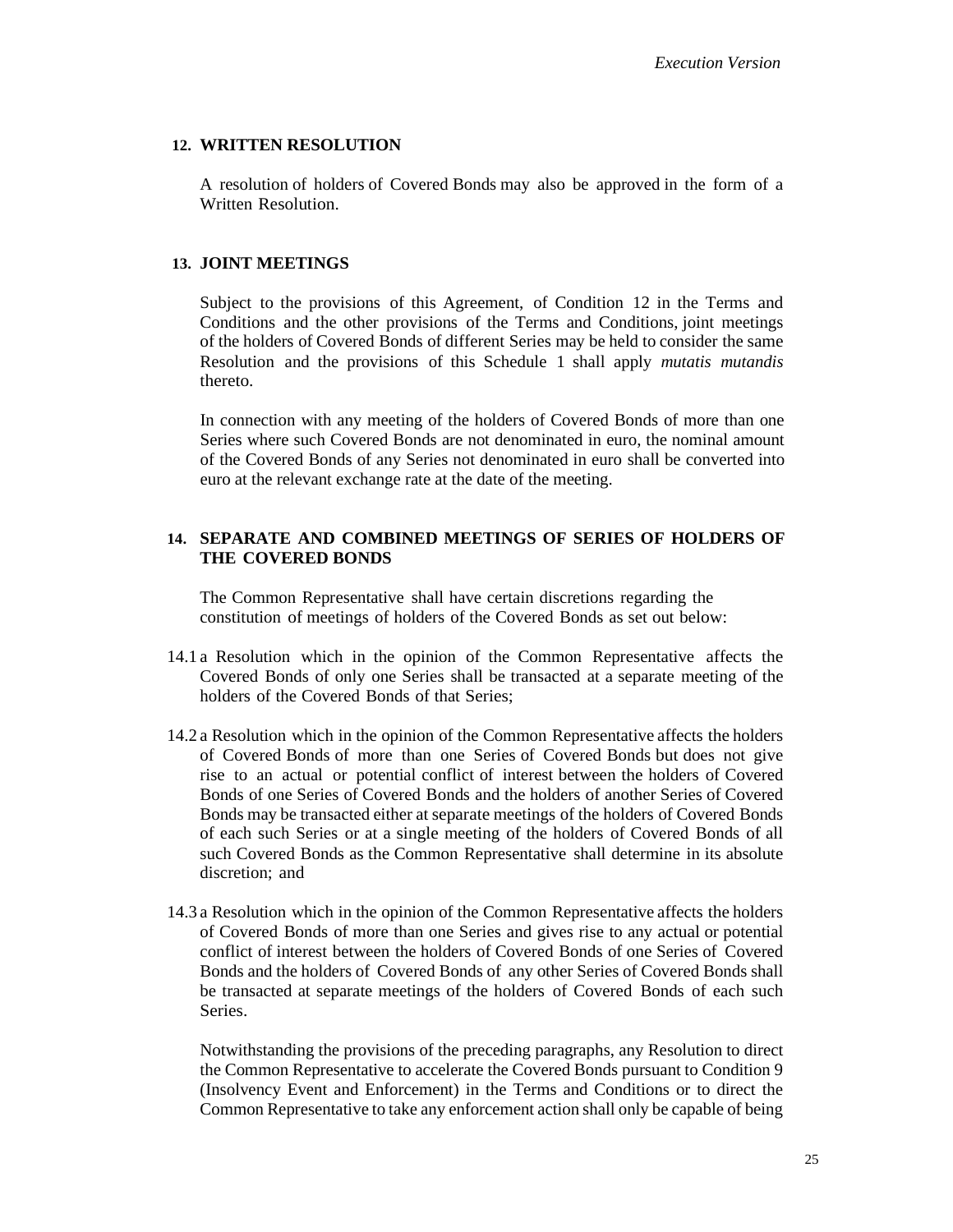# **12. WRITTEN RESOLUTION**

A resolution of holders of Covered Bonds may also be approved in the form of a Written Resolution.

# **13. JOINT MEETINGS**

Subject to the provisions of this Agreement, of Condition 12 in the Terms and Conditions and the other provisions of the Terms and Conditions, joint meetings of the holders of Covered Bonds of different Series may be held to consider the same Resolution and the provisions of this Schedule 1 shall apply *mutatis mutandis* thereto.

In connection with any meeting of the holders of Covered Bonds of more than one Series where such Covered Bonds are not denominated in euro, the nominal amount of the Covered Bonds of any Series not denominated in euro shall be converted into euro at the relevant exchange rate at the date of the meeting.

# **14. SEPARATE AND COMBINED MEETINGS OF SERIES OF HOLDERS OF THE COVERED BONDS**

The Common Representative shall have certain discretions regarding the constitution of meetings of holders of the Covered Bonds as set out below:

- 14.1 a Resolution which in the opinion of the Common Representative affects the Covered Bonds of only one Series shall be transacted at a separate meeting of the holders of the Covered Bonds of that Series;
- 14.2 a Resolution which in the opinion of the Common Representative affects the holders of Covered Bonds of more than one Series of Covered Bonds but does not give rise to an actual or potential conflict of interest between the holders of Covered Bonds of one Series of Covered Bonds and the holders of another Series of Covered Bonds may be transacted either at separate meetings of the holders of Covered Bonds of each such Series or at a single meeting of the holders of Covered Bonds of all such Covered Bonds as the Common Representative shall determine in its absolute discretion; and
- 14.3 a Resolution which in the opinion of the Common Representative affects the holders of Covered Bonds of more than one Series and gives rise to any actual or potential conflict of interest between the holders of Covered Bonds of one Series of Covered Bonds and the holders of Covered Bonds of any other Series of Covered Bonds shall be transacted at separate meetings of the holders of Covered Bonds of each such Series.

Notwithstanding the provisions of the preceding paragraphs, any Resolution to direct the Common Representative to accelerate the Covered Bonds pursuant to Condition 9 (Insolvency Event and Enforcement) in the Terms and Conditions or to direct the Common Representative to take any enforcement action shall only be capable of being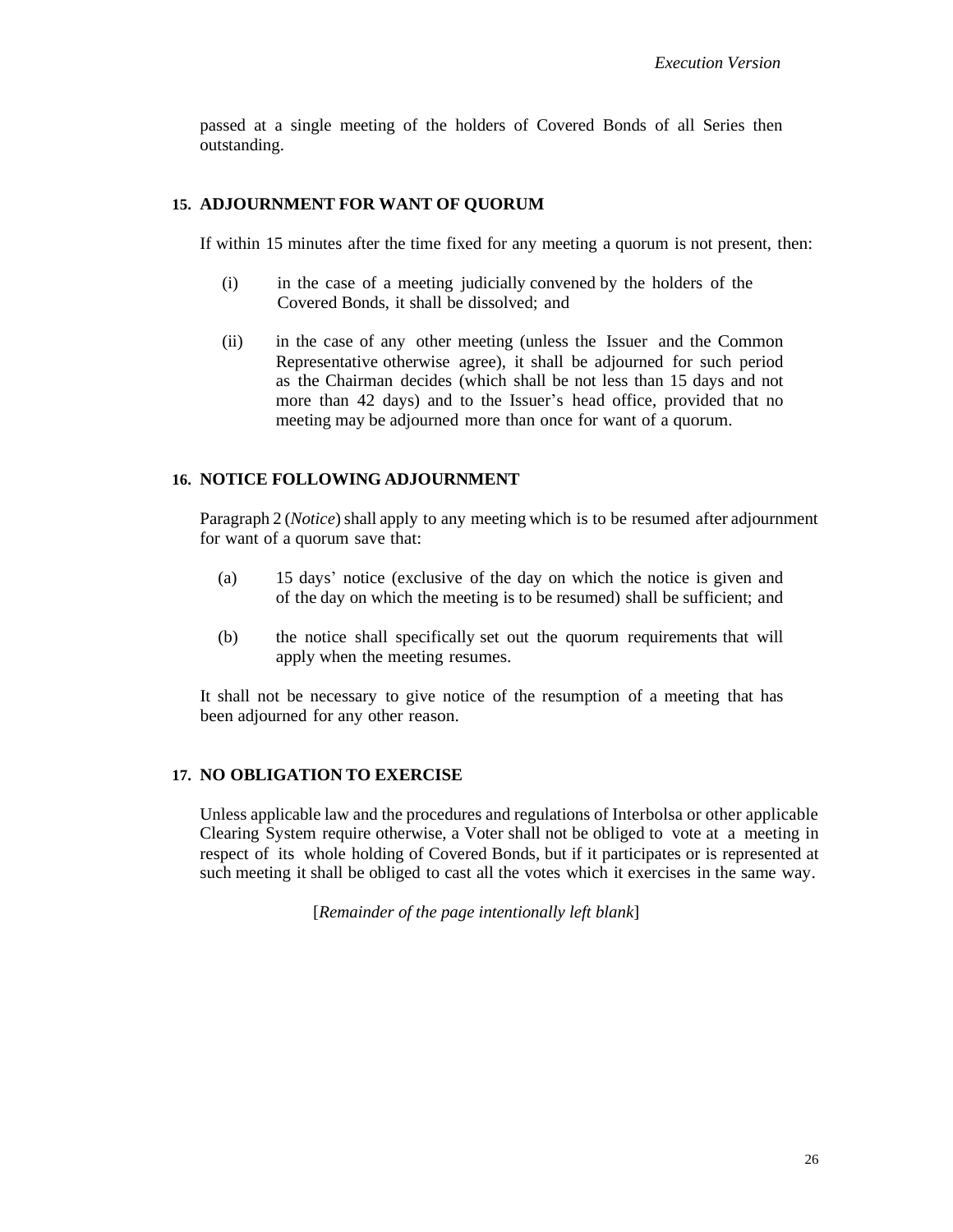passed at a single meeting of the holders of Covered Bonds of all Series then outstanding.

## **15. ADJOURNMENT FOR WANT OF QUORUM**

If within 15 minutes after the time fixed for any meeting a quorum is not present, then:

- (i) in the case of a meeting judicially convened by the holders of the Covered Bonds, it shall be dissolved; and
- (ii) in the case of any other meeting (unless the Issuer and the Common Representative otherwise agree), it shall be adjourned for such period as the Chairman decides (which shall be not less than 15 days and not more than 42 days) and to the Issuer's head office, provided that no meeting may be adjourned more than once for want of a quorum.

#### **16. NOTICE FOLLOWING ADJOURNMENT**

Paragraph 2 (*Notice*) shall apply to any meeting which is to be resumed after adjournment for want of a quorum save that:

- (a) 15 days' notice (exclusive of the day on which the notice is given and of the day on which the meeting is to be resumed) shall be sufficient; and
- (b) the notice shall specifically set out the quorum requirements that will apply when the meeting resumes.

It shall not be necessary to give notice of the resumption of a meeting that has been adjourned for any other reason.

# **17. NO OBLIGATION TO EXERCISE**

Unless applicable law and the procedures and regulations of Interbolsa or other applicable Clearing System require otherwise, a Voter shall not be obliged to vote at a meeting in respect of its whole holding of Covered Bonds, but if it participates or is represented at such meeting it shall be obliged to cast all the votes which it exercises in the same way.

[*Remainder of the page intentionally left blank*]